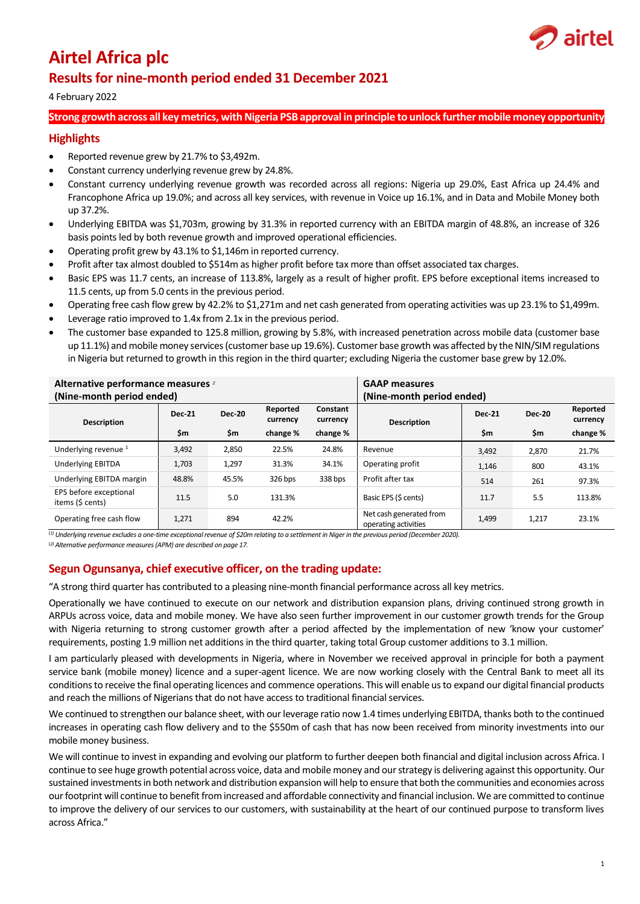

# **Airtel Africa plc**

# **Results for nine-month period ended 31 December 2021**

## 4 February 2022

## **Strong growth across all key metrics, with Nigeria PSB approval in principle to unlock further mobile money opportunity**

## **Highlights**

- Reported revenue grew by 21.7% to \$3,492m.
- Constant currency underlying revenue grew by 24.8%.
- Constant currency underlying revenue growth was recorded across all regions: Nigeria up 29.0%, East Africa up 24.4% and Francophone Africa up 19.0%; and across all key services, with revenue in Voice up 16.1%, and in Data and Mobile Money both up 37.2%.
- Underlying EBITDA was \$1,703m, growing by 31.3% in reported currency with an EBITDA margin of 48.8%, an increase of 326 basis points led by both revenue growth and improved operational efficiencies.
- Operating profit grew by 43.1% to \$1,146m in reported currency.
- Profit after tax almost doubled to \$514m as higher profit before tax more than offset associated tax charges.
- Basic EPS was 11.7 cents, an increase of 113.8%, largely as a result of higher profit. EPS before exceptional items increased to 11.5 cents, up from 5.0 cents in the previous period.
- Operating free cash flow grew by 42.2% to \$1,271m and net cash generated from operating activities was up 23.1% to \$1,499m.
- Leverage ratio improved to 1.4x from 2.1x in the previous period.
- The customer base expanded to 125.8 million, growing by 5.8%, with increased penetration across mobile data (customer base up 11.1%) and mobile money services (customer base up 19.6%). Customer base growth was affected by the NIN/SIM regulations in Nigeria but returned to growth in this region in the third quarter; excluding Nigeria the customer base grew by 12.0%.

| Alternative performance measures 2<br>(Nine-month period ended) |               |               | <b>GAAP measures</b><br>(Nine-month period ended) |                      |                                                 |               |               |                      |
|-----------------------------------------------------------------|---------------|---------------|---------------------------------------------------|----------------------|-------------------------------------------------|---------------|---------------|----------------------|
| <b>Description</b>                                              | <b>Dec-21</b> | <b>Dec-20</b> | Reported<br>currency                              | Constant<br>currency | <b>Description</b>                              | <b>Dec-21</b> | <b>Dec-20</b> | Reported<br>currency |
|                                                                 | \$m           | \$m           | change %                                          | change %             |                                                 | \$m           | \$m           | change %             |
| Underlying revenue <sup>1</sup>                                 | 3,492         | 2,850         | 22.5%                                             | 24.8%                | Revenue                                         | 3,492         | 2,870         | 21.7%                |
| <b>Underlying EBITDA</b>                                        | 1,703         | 1,297         | 31.3%                                             | 34.1%                | Operating profit                                | 1,146         | 800           | 43.1%                |
| Underlying EBITDA margin                                        | 48.8%         | 45.5%         | 326 bps                                           | 338 bps              | Profit after tax                                | 514           | 261           | 97.3%                |
| EPS before exceptional<br>items (\$ cents)                      | 11.5          | 5.0           | 131.3%                                            |                      | Basic EPS (\$ cents)                            | 11.7          | 5.5           | 113.8%               |
| Operating free cash flow                                        | 1,271         | 894           | 42.2%                                             |                      | Net cash generated from<br>operating activities | 1,499         | 1,217         | 23.1%                |

(*1) Underlying revenue excludes a one-time exceptional revenue of \$20m relating to a settlement in Niger in the previous period (December 2020).*

(*2) Alternative performance measures (APM) are described on page 17.*

## **Segun Ogunsanya, chief executive officer, on the trading update:**

"A strong third quarter has contributed to a pleasing nine-month financial performance across all key metrics.

Operationally we have continued to execute on our network and distribution expansion plans, driving continued strong growth in ARPUs across voice, data and mobile money. We have also seen further improvement in our customer growth trends for the Group with Nigeria returning to strong customer growth after a period affected by the implementation of new 'know your customer' requirements, posting 1.9 million net additions in the third quarter, taking total Group customer additions to 3.1 million.

I am particularly pleased with developments in Nigeria, where in November we received approval in principle for both a payment service bank (mobile money) licence and a super-agent licence. We are now working closely with the Central Bank to meet all its conditions to receive the final operating licences and commence operations. This will enable us to expand our digital financial products and reach the millions of Nigerians that do not have access to traditional financial services.

We continued to strengthen our balance sheet, with our leverage ratio now 1.4 times underlying EBITDA, thanks both to the continued increases in operating cash flow delivery and to the \$550m of cash that has now been received from minority investments into our mobile money business.

We will continue to invest in expanding and evolving our platform to further deepen both financial and digital inclusion across Africa. I continue to see huge growth potential across voice, data and mobile money and our strategy is delivering against this opportunity. Our sustained investments in both network and distribution expansion will help to ensure that both the communities and economies across our footprint will continue to benefit from increased and affordable connectivity and financial inclusion. We are committed to continue to improve the delivery of our services to our customers, with sustainability at the heart of our continued purpose to transform lives across Africa."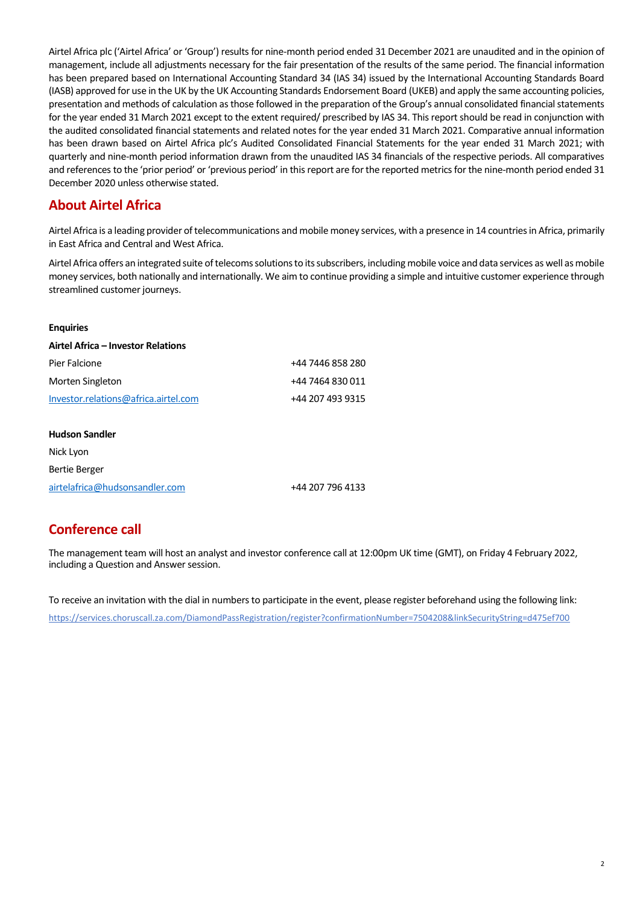Airtel Africa plc ('Airtel Africa' or 'Group') results for nine-month period ended 31 December 2021 are unaudited and in the opinion of management, include all adjustments necessary for the fair presentation of the results of the same period. The financial information has been prepared based on International Accounting Standard 34 (IAS 34) issued by the International Accounting Standards Board (IASB) approved for use in the UK by the UK Accounting Standards Endorsement Board (UKEB) and apply the same accounting policies, presentation and methods of calculation as those followed in the preparation of the Group's annual consolidated financial statements for the year ended 31 March 2021 except to the extent required/ prescribed by IAS 34. This report should be read in conjunction with the audited consolidated financial statements and related notes for the year ended 31 March 2021. Comparative annual information has been drawn based on Airtel Africa plc's Audited Consolidated Financial Statements for the year ended 31 March 2021; with quarterly and nine-month period information drawn from the unaudited IAS 34 financials of the respective periods. All comparatives and references to the 'prior period' or 'previous period' in this report are for the reported metrics for the nine-month period ended 31 December 2020 unless otherwise stated.

# **About Airtel Africa**

Airtel Africa is a leading provider of telecommunications and mobile money services, with a presence in 14 countries in Africa, primarily in East Africa and Central and West Africa.

Airtel Africa offers an integrated suite of telecoms solutions to its subscribers, including mobile voice and data services as well as mobile money services, both nationally and internationally. We aim to continue providing a simple and intuitive customer experience through streamlined customer journeys.

#### **Enquiries**

| Airtel Africa – Investor Relations   |                  |
|--------------------------------------|------------------|
| Pier Falcione                        | +44 7446 858 280 |
| Morten Singleton                     | +44 7464 830 011 |
| Investor.relations@africa.airtel.com | +44 207 493 9315 |
| <b>Hudson Sandler</b>                |                  |
| Nick Lyon                            |                  |
| Bertie Berger                        |                  |

[airtelafrica@hudsonsandler.com](mailto:airtelafrica@hudsonsandler.com) +44 207 796 4133

# **Conference call**

The management team will host an analyst and investor conference call at 12:00pm UK time (GMT), on Friday 4 February 2022, including a Question and Answer session.

To receive an invitation with the dial in numbers to participate in the event, please register beforehand using the following link: <https://services.choruscall.za.com/DiamondPassRegistration/register?confirmationNumber=7504208&linkSecurityString=d475ef700>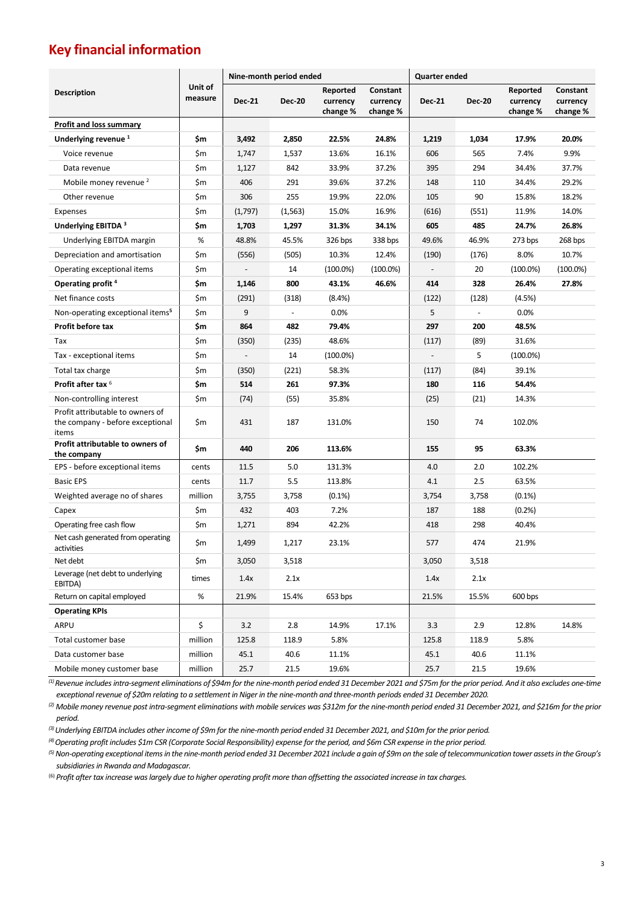# **Key financial information**

|                                                                               |                    | Nine-month period ended |                          |                                  |                                  | <b>Quarter ended</b> |               |                                  |                                  |
|-------------------------------------------------------------------------------|--------------------|-------------------------|--------------------------|----------------------------------|----------------------------------|----------------------|---------------|----------------------------------|----------------------------------|
| <b>Description</b>                                                            | Unit of<br>measure | <b>Dec-21</b>           | Dec-20                   | Reported<br>currency<br>change % | Constant<br>currency<br>change % | <b>Dec-21</b>        | <b>Dec-20</b> | Reported<br>currency<br>change % | Constant<br>currency<br>change % |
| <b>Profit and loss summary</b>                                                |                    |                         |                          |                                  |                                  |                      |               |                                  |                                  |
| Underlying revenue <sup>1</sup>                                               | \$m                | 3,492                   | 2,850                    | 22.5%                            | 24.8%                            | 1,219                | 1,034         | 17.9%                            | 20.0%                            |
| Voice revenue                                                                 | \$m                | 1,747                   | 1,537                    | 13.6%                            | 16.1%                            | 606                  | 565           | 7.4%                             | 9.9%                             |
| Data revenue                                                                  | \$m                | 1,127                   | 842                      | 33.9%                            | 37.2%                            | 395                  | 294           | 34.4%                            | 37.7%                            |
| Mobile money revenue <sup>2</sup>                                             | \$m                | 406                     | 291                      | 39.6%                            | 37.2%                            | 148                  | 110           | 34.4%                            | 29.2%                            |
| Other revenue                                                                 | \$m                | 306                     | 255                      | 19.9%                            | 22.0%                            | 105                  | 90            | 15.8%                            | 18.2%                            |
| Expenses                                                                      | \$m                | (1,797)                 | (1, 563)                 | 15.0%                            | 16.9%                            | (616)                | (551)         | 11.9%                            | 14.0%                            |
| Underlying EBITDA 3                                                           | \$m                | 1,703                   | 1,297                    | 31.3%                            | 34.1%                            | 605                  | 485           | 24.7%                            | 26.8%                            |
| Underlying EBITDA margin                                                      | %                  | 48.8%                   | 45.5%                    | 326 bps                          | 338 bps                          | 49.6%                | 46.9%         | 273 bps                          | 268 bps                          |
| Depreciation and amortisation                                                 | \$m                | (556)                   | (505)                    | 10.3%                            | 12.4%                            | (190)                | (176)         | 8.0%                             | 10.7%                            |
| Operating exceptional items                                                   | \$m                |                         | 14                       | $(100.0\%)$                      | $(100.0\%)$                      |                      | 20            | $(100.0\%)$                      | $(100.0\%)$                      |
| Operating profit <sup>4</sup>                                                 | \$m                | 1,146                   | 800                      | 43.1%                            | 46.6%                            | 414                  | 328           | 26.4%                            | 27.8%                            |
| Net finance costs                                                             | \$m                | (291)                   | (318)                    | (8.4%)                           |                                  | (122)                | (128)         | (4.5%)                           |                                  |
| Non-operating exceptional items <sup>5</sup>                                  | \$m                | 9                       | $\overline{\phantom{a}}$ | 0.0%                             |                                  | 5                    |               | 0.0%                             |                                  |
| Profit before tax                                                             | \$m                | 864                     | 482                      | 79.4%                            |                                  | 297                  | 200           | 48.5%                            |                                  |
| Tax                                                                           | \$m                | (350)                   | (235)                    | 48.6%                            |                                  | (117)                | (89)          | 31.6%                            |                                  |
| Tax - exceptional items                                                       | \$m                |                         | 14                       | $(100.0\%)$                      |                                  |                      | 5             | $(100.0\%)$                      |                                  |
| Total tax charge                                                              | \$m                | (350)                   | (221)                    | 58.3%                            |                                  | (117)                | (84)          | 39.1%                            |                                  |
| Profit after tax 6                                                            | \$m                | 514                     | 261                      | 97.3%                            |                                  | 180                  | 116           | 54.4%                            |                                  |
| Non-controlling interest                                                      | \$m                | (74)                    | (55)                     | 35.8%                            |                                  | (25)                 | (21)          | 14.3%                            |                                  |
| Profit attributable to owners of<br>the company - before exceptional<br>items | \$m                | 431                     | 187                      | 131.0%                           |                                  | 150                  | 74            | 102.0%                           |                                  |
| Profit attributable to owners of<br>the company                               | \$m                | 440                     | 206                      | 113.6%                           |                                  | 155                  | 95            | 63.3%                            |                                  |
| EPS - before exceptional items                                                | cents              | 11.5                    | 5.0                      | 131.3%                           |                                  | 4.0                  | 2.0           | 102.2%                           |                                  |
| <b>Basic EPS</b>                                                              | cents              | 11.7                    | 5.5                      | 113.8%                           |                                  | 4.1                  | 2.5           | 63.5%                            |                                  |
| Weighted average no of shares                                                 | million            | 3,755                   | 3,758                    | $(0.1\%)$                        |                                  | 3,754                | 3,758         | $(0.1\%)$                        |                                  |
| Capex                                                                         | \$m                | 432                     | 403                      | 7.2%                             |                                  | 187                  | 188           | (0.2%)                           |                                  |
| Operating free cash flow                                                      | \$m                | 1,271                   | 894                      | 42.2%                            |                                  | 418                  | 298           | 40.4%                            |                                  |
| Net cash generated from operating<br>activities                               | \$m                | 1,499                   | 1,217                    | 23.1%                            |                                  | 577                  | 474           | 21.9%                            |                                  |
| Net debt                                                                      | \$m                | 3,050                   | 3,518                    |                                  |                                  | 3,050                | 3,518         |                                  |                                  |
| Leverage (net debt to underlying<br>EBITDA)                                   | times              | 1.4x                    | 2.1x                     |                                  |                                  | 1.4x                 | 2.1x          |                                  |                                  |
| Return on capital employed                                                    | $\%$               | 21.9%                   | 15.4%                    | 653 bps                          |                                  | 21.5%                | 15.5%         | 600 bps                          |                                  |
| <b>Operating KPIs</b>                                                         |                    |                         |                          |                                  |                                  |                      |               |                                  |                                  |
| ARPU                                                                          | \$                 | 3.2                     | 2.8                      | 14.9%                            | 17.1%                            | 3.3                  | 2.9           | 12.8%                            | 14.8%                            |
| Total customer base                                                           | million            | 125.8                   | 118.9                    | 5.8%                             |                                  | 125.8                | 118.9         | 5.8%                             |                                  |
| Data customer base                                                            | million            | 45.1                    | 40.6                     | 11.1%                            |                                  | 45.1                 | 40.6          | 11.1%                            |                                  |
| Mobile money customer base                                                    | million            | 25.7                    | 21.5                     | 19.6%                            |                                  | 25.7                 | 21.5          | 19.6%                            |                                  |

*(1) Revenue includes intra-segment eliminations of \$94m for the nine-month period ended 31 December 2021 and \$75m for the prior period. And it also excludes one-time exceptional revenue of \$20m relating to a settlement in Niger in the nine-month and three-month periods ended 31 December 2020.*

*(2) Mobile money revenue post intra-segment eliminations with mobile services was \$312m for the nine-month period ended 31 December 2021, and \$216m for the prior period.*

*(3) Underlying EBITDA includes other income of \$9m for the nine-month period ended 31 December 2021, and \$10m for the prior period.*

*(4) Operating profit includes \$1m CSR (Corporate Social Responsibility) expense for the period, and \$6m CSR expense in the prior period.*

<sup>(5)</sup> Non-operating exceptional items in the nine-month period ended 31 December 2021 include a gain of \$9m on the sale of telecommunication tower assets in the Group's *subsidiaries in Rwanda and Madagascar.*

(6) *Profit after tax increase was largely due to higher operating profit more than offsetting the associated increase in tax charges.*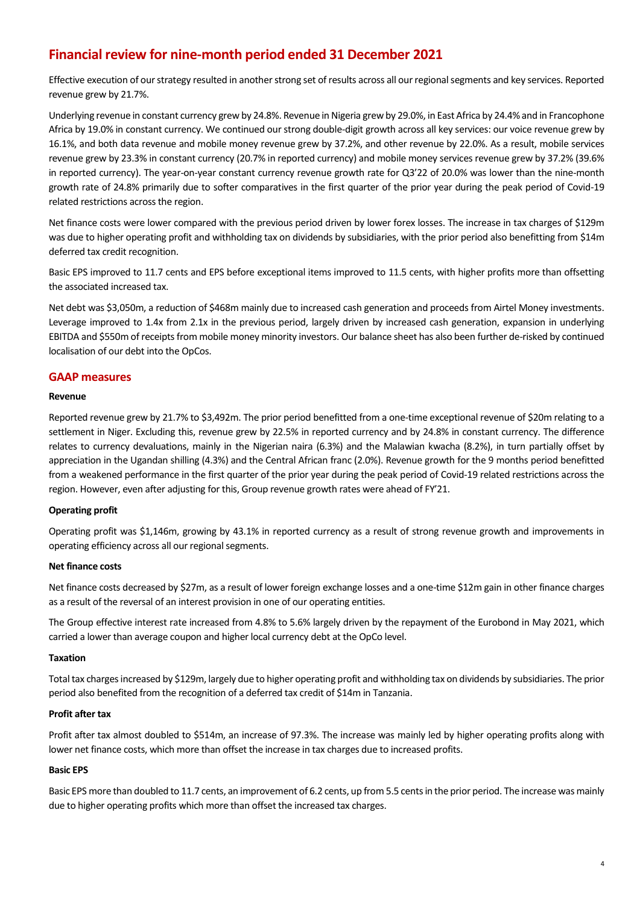# **Financial review for nine-month period ended 31 December 2021**

Effective execution of our strategy resulted in another strong set of results across all our regional segments and key services. Reported revenue grew by 21.7%.

Underlying revenue in constant currency grew by 24.8%. Revenue in Nigeria grew by 29.0%, in East Africa by 24.4% and in Francophone Africa by 19.0% in constant currency. We continued our strong double-digit growth across all key services: our voice revenue grew by 16.1%, and both data revenue and mobile money revenue grew by 37.2%, and other revenue by 22.0%. As a result, mobile services revenue grew by 23.3% in constant currency (20.7% in reported currency) and mobile money services revenue grew by 37.2% (39.6% in reported currency). The year-on-year constant currency revenue growth rate for Q3'22 of 20.0% was lower than the nine-month growth rate of 24.8% primarily due to softer comparatives in the first quarter of the prior year during the peak period of Covid-19 related restrictions across the region.

Net finance costs were lower compared with the previous period driven by lower forex losses. The increase in tax charges of \$129m was due to higher operating profit and withholding tax on dividends by subsidiaries, with the prior period also benefitting from \$14m deferred tax credit recognition.

Basic EPS improved to 11.7 cents and EPS before exceptional items improved to 11.5 cents, with higher profits more than offsetting the associated increased tax.

Net debt was \$3,050m, a reduction of \$468m mainly due to increased cash generation and proceeds from Airtel Money investments. Leverage improved to 1.4x from 2.1x in the previous period, largely driven by increased cash generation, expansion in underlying EBITDA and \$550m of receipts from mobile money minority investors. Our balance sheet has also been further de-risked by continued localisation of our debt into the OpCos.

## **GAAP measures**

### **Revenue**

Reported revenue grew by 21.7% to \$3,492m. The prior period benefitted from a one-time exceptional revenue of \$20m relating to a settlement in Niger. Excluding this, revenue grew by 22.5% in reported currency and by 24.8% in constant currency. The difference relates to currency devaluations, mainly in the Nigerian naira (6.3%) and the Malawian kwacha (8.2%), in turn partially offset by appreciation in the Ugandan shilling (4.3%) and the Central African franc (2.0%). Revenue growth for the 9 months period benefitted from a weakened performance in the first quarter of the prior year during the peak period of Covid-19 related restrictions across the region. However, even after adjusting for this, Group revenue growth rates were ahead of FY'21.

### **Operating profit**

Operating profit was \$1,146m, growing by 43.1% in reported currency as a result of strong revenue growth and improvements in operating efficiency across all our regional segments.

### **Net finance costs**

Net finance costs decreased by \$27m, as a result of lower foreign exchange losses and a one-time \$12m gain in other finance charges as a result of the reversal of an interest provision in one of our operating entities.

The Group effective interest rate increased from 4.8% to 5.6% largely driven by the repayment of the Eurobond in May 2021, which carried a lower than average coupon and higher local currency debt at the OpCo level.

#### **Taxation**

Total tax charges increased by \$129m, largely due to higher operating profit and withholding tax on dividends by subsidiaries. The prior period also benefited from the recognition of a deferred tax credit of \$14m in Tanzania.

#### **Profit after tax**

Profit after tax almost doubled to \$514m, an increase of 97.3%. The increase was mainly led by higher operating profits along with lower net finance costs, which more than offset the increase in tax charges due to increased profits.

#### **Basic EPS**

Basic EPS more than doubled to 11.7 cents, an improvement of 6.2 cents, up from 5.5 centsin the prior period. The increase was mainly due to higher operating profits which more than offset the increased tax charges.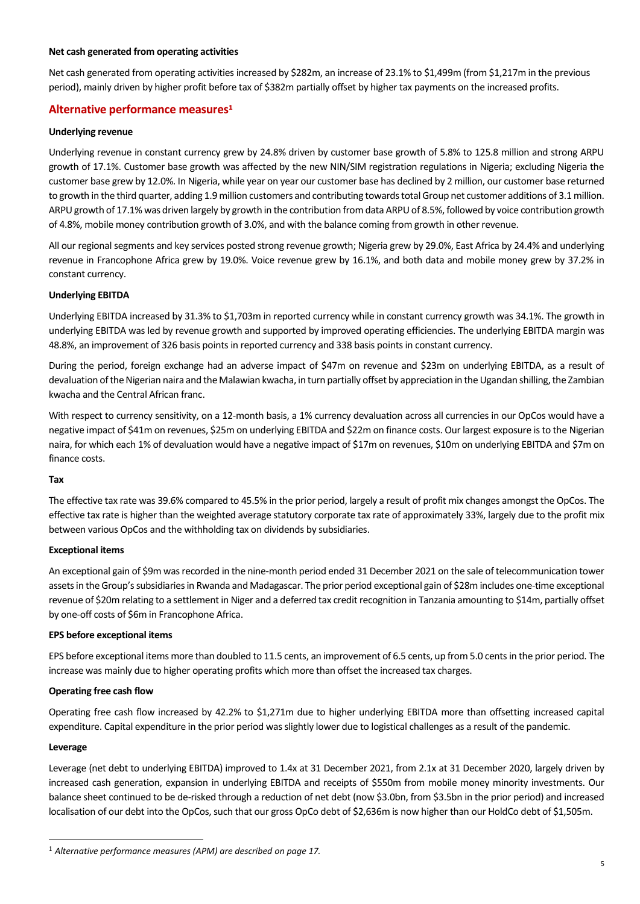#### **Net cash generated from operating activities**

Net cash generated from operating activities increased by \$282m, an increase of 23.1% to \$1,499m (from \$1,217m in the previous period), mainly driven by higher profit before tax of \$382m partially offset by higher tax payments on the increased profits.

## **Alternative performance measures<sup>1</sup>**

#### **Underlying revenue**

Underlying revenue in constant currency grew by 24.8% driven by customer base growth of 5.8% to 125.8 million and strong ARPU growth of 17.1%. Customer base growth was affected by the new NIN/SIM registration regulations in Nigeria; excluding Nigeria the customer base grew by 12.0%. In Nigeria, while year on year our customer base has declined by 2 million, our customer base returned to growth in the third quarter, adding 1.9 million customers and contributing towards total Group net customer additions of 3.1 million. ARPU growth of 17.1% was driven largely by growth in the contribution from data ARPU of 8.5%, followed by voice contribution growth of 4.8%, mobile money contribution growth of 3.0%, and with the balance coming from growth in other revenue.

All our regional segments and key services posted strong revenue growth; Nigeria grew by 29.0%, East Africa by 24.4% and underlying revenue in Francophone Africa grew by 19.0%. Voice revenue grew by 16.1%, and both data and mobile money grew by 37.2% in constant currency.

### **Underlying EBITDA**

Underlying EBITDA increased by 31.3% to \$1,703m in reported currency while in constant currency growth was 34.1%. The growth in underlying EBITDA was led by revenue growth and supported by improved operating efficiencies. The underlying EBITDA margin was 48.8%, an improvement of 326 basis points in reported currency and 338 basis points in constant currency.

During the period, foreign exchange had an adverse impact of \$47m on revenue and \$23m on underlying EBITDA, as a result of devaluation of the Nigerian naira and the Malawian kwacha, in turn partially offset by appreciation in the Ugandan shilling, the Zambian kwacha and the Central African franc.

With respect to currency sensitivity, on a 12-month basis, a 1% currency devaluation across all currencies in our OpCos would have a negative impact of \$41m on revenues, \$25m on underlying EBITDA and \$22m on finance costs. Our largest exposure is to the Nigerian naira, for which each 1% of devaluation would have a negative impact of \$17m on revenues, \$10m on underlying EBITDA and \$7m on finance costs.

#### **Tax**

The effective tax rate was 39.6% compared to 45.5% in the prior period, largely a result of profit mix changes amongst the OpCos. The effective tax rate is higher than the weighted average statutory corporate tax rate of approximately 33%, largely due to the profit mix between various OpCos and the withholding tax on dividends by subsidiaries.

#### **Exceptional items**

An exceptional gain of \$9m was recorded in the nine-month period ended 31 December 2021 on the sale of telecommunication tower assets in the Group's subsidiaries in Rwanda and Madagascar. The prior period exceptional gain of \$28m includes one-time exceptional revenue of \$20m relating to a settlement in Niger and a deferred tax credit recognition in Tanzania amounting to \$14m, partially offset by one-off costs of \$6m in Francophone Africa.

#### **EPS before exceptional items**

EPS before exceptional items more than doubled to 11.5 cents, an improvement of 6.5 cents, up from 5.0 cents in the prior period. The increase was mainly due to higher operating profits which more than offset the increased tax charges.

#### **Operating free cash flow**

Operating free cash flow increased by 42.2% to \$1,271m due to higher underlying EBITDA more than offsetting increased capital expenditure. Capital expenditure in the prior period was slightly lower due to logistical challenges as a result of the pandemic.

#### **Leverage**

Leverage (net debt to underlying EBITDA) improved to 1.4x at 31 December 2021, from 2.1x at 31 December 2020, largely driven by increased cash generation, expansion in underlying EBITDA and receipts of \$550m from mobile money minority investments. Our balance sheet continued to be de-risked through a reduction of net debt (now \$3.0bn, from \$3.5bn in the prior period) and increased localisation of our debt into the OpCos, such that our gross OpCo debt of \$2,636m is now higher than our HoldCo debt of \$1,505m.

<sup>1</sup> *Alternative performance measures (APM) are described on page 17.*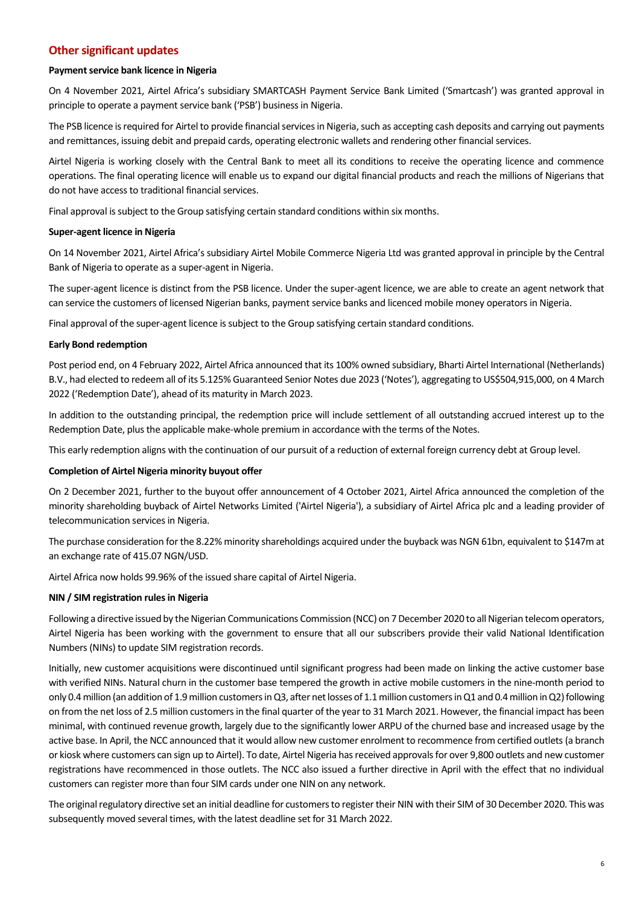# **Other significant updates**

### **Payment service bank licence in Nigeria**

On 4 November 2021, Airtel Africa's subsidiary SMARTCASH Payment Service Bank Limited ('Smartcash') was granted approval in principle to operate a payment service bank ('PSB') business in Nigeria.

The PSB licence is required for Airtel to provide financial services in Nigeria, such as accepting cash deposits and carrying out payments and remittances, issuing debit and prepaid cards, operating electronic wallets and rendering other financial services.

Airtel Nigeria is working closely with the Central Bank to meet all its conditions to receive the operating licence and commence operations. The final operating licence will enable us to expand our digital financial products and reach the millions of Nigerians that do not have access to traditional financial services.

Final approval is subject to the Group satisfying certain standard conditions within six months.

#### **Super-agent licence in Nigeria**

On 14 November 2021, Airtel Africa's subsidiary Airtel Mobile Commerce Nigeria Ltd was granted approval in principle by the Central Bank of Nigeria to operate as a super-agent in Nigeria.

The super-agent licence is distinct from the PSB licence. Under the super-agent licence, we are able to create an agent network that can service the customers of licensed Nigerian banks, payment service banks and licenced mobile money operators in Nigeria.

Final approval of the super-agent licence is subject to the Group satisfying certain standard conditions.

#### **Early Bond redemption**

Post period end, on 4 February 2022, Airtel Africa announced that its 100% owned subsidiary, Bharti Airtel International (Netherlands) B.V., had elected to redeem all of its 5.125% Guaranteed Senior Notes due 2023 ('Notes'), aggregating to US\$504,915,000, on 4 March 2022 ('Redemption Date'), ahead of its maturity in March 2023.

In addition to the outstanding principal, the redemption price will include settlement of all outstanding accrued interest up to the Redemption Date, plus the applicable make-whole premium in accordance with the terms of the Notes.

This early redemption aligns with the continuation of our pursuit of a reduction of external foreign currency debt at Group level.

#### **Completion of Airtel Nigeria minority buyout offer**

On 2 December 2021, further to the buyout offer announcement of 4 October 2021, Airtel Africa announced the completion of the minority shareholding buyback of Airtel Networks Limited ('Airtel Nigeria'), a subsidiary of Airtel Africa plc and a leading provider of telecommunication services in Nigeria.

The purchase consideration for the 8.22% minority shareholdings acquired under the buyback was NGN 61bn, equivalent to \$147m at an exchange rate of 415.07 NGN/USD.

Airtel Africa now holds 99.96% of the issued share capital of Airtel Nigeria.

### **NIN / SIM registration rules in Nigeria**

Following a directive issued by the Nigerian Communications Commission (NCC) on 7 December 2020 to all Nigerian telecom operators, Airtel Nigeria has been working with the government to ensure that all our subscribers provide their valid National Identification Numbers (NINs) to update SIM registration records.

Initially, new customer acquisitions were discontinued until significant progress had been made on linking the active customer base with verified NINs. Natural churn in the customer base tempered the growth in active mobile customers in the nine-month period to only 0.4 million (an addition of 1.9 million customersin Q3, after net losses of 1.1million customers in Q1 and 0.4million in Q2) following on from the net loss of 2.5 million customersin the final quarter of the year to 31 March 2021. However, the financial impact has been minimal, with continued revenue growth, largely due to the significantly lower ARPU of the churned base and increased usage by the active base. In April, the NCC announced that it would allow new customer enrolment to recommence from certified outlets (a branch or kiosk where customers can sign up to Airtel). To date, Airtel Nigeria has received approvals for over 9,800 outlets and new customer registrations have recommenced in those outlets. The NCC also issued a further directive in April with the effect that no individual customers can register more than four SIM cards under one NIN on any network.

The original regulatory directive set an initial deadline for customers to register their NIN with their SIM of 30 December 2020. This was subsequently moved several times, with the latest deadline set for 31 March 2022.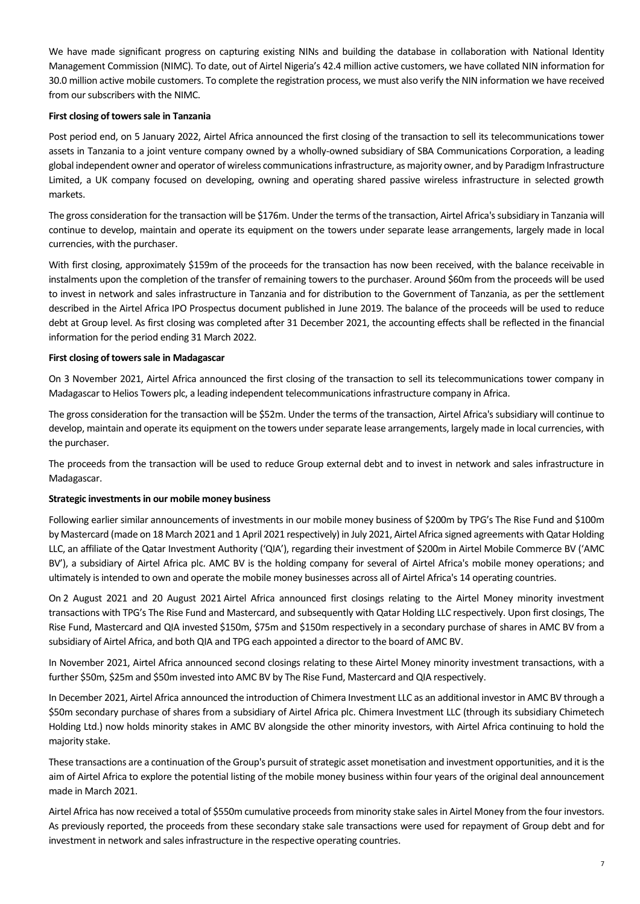We have made significant progress on capturing existing NINs and building the database in collaboration with National Identity Management Commission (NIMC). To date, out of Airtel Nigeria's 42.4 million active customers, we have collated NIN information for 30.0 million active mobile customers. To complete the registration process, we must also verify the NIN information we have received from our subscribers with the NIMC.

### **First closing of towers sale in Tanzania**

Post period end, on 5 January 2022, Airtel Africa announced the first closing of the transaction to sell its telecommunications tower assets in Tanzania to a joint venture company owned by a wholly-owned subsidiary of SBA Communications Corporation, a leading global independent owner and operator of wireless communications infrastructure, as majority owner, and by Paradigm Infrastructure Limited, a UK company focused on developing, owning and operating shared passive wireless infrastructure in selected growth markets.

The gross consideration for the transaction will be \$176m. Under the terms of the transaction, Airtel Africa's subsidiary in Tanzania will continue to develop, maintain and operate its equipment on the towers under separate lease arrangements, largely made in local currencies, with the purchaser.

With first closing, approximately \$159m of the proceeds for the transaction has now been received, with the balance receivable in instalments upon the completion of the transfer of remaining towers to the purchaser. Around \$60m from the proceeds will be used to invest in network and sales infrastructure in Tanzania and for distribution to the Government of Tanzania, as per the settlement described in the Airtel Africa IPO Prospectus document published in June 2019. The balance of the proceeds will be used to reduce debt at Group level. As first closing was completed after 31 December 2021, the accounting effects shall be reflected in the financial information for the period ending 31 March 2022.

#### First closing of towers sale in Madagascar

On 3 November 2021, Airtel Africa announced the first closing of the transaction to sell its telecommunications tower company in Madagascar to Helios Towers plc, a leading independent telecommunications infrastructure company in Africa.

The gross consideration for the transaction will be \$52m. Under the terms of the transaction, Airtel Africa's subsidiary will continue to develop, maintain and operate its equipment on the towers under separate lease arrangements, largely made in local currencies, with the purchaser.

The proceeds from the transaction will be used to reduce Group external debt and to invest in network and sales infrastructure in Madagascar.

### **Strategic investments in our mobile money business**

Following earlier similar announcements of investments in our mobile money business of \$200m by TPG's The Rise Fund and \$100m by Mastercard (made on 18 March 2021 and 1 April 2021 respectively) in July 2021, Airtel Africa signed agreements with Qatar Holding LLC, an affiliate of the Qatar Investment Authority ('QIA'), regarding their investment of \$200m in Airtel Mobile Commerce BV ('AMC BV'), a subsidiary of Airtel Africa plc. AMC BV is the holding company for several of Airtel Africa's mobile money operations; and ultimately is intended to own and operate the mobile money businesses across all of Airtel Africa's 14 operating countries.

On 2 August 2021 and 20 August 2021 Airtel Africa announced first closings relating to the Airtel Money minority investment transactions with TPG's The Rise Fund and Mastercard, and subsequently with Qatar Holding LLC respectively. Upon first closings, The Rise Fund, Mastercard and QIA invested \$150m, \$75m and \$150m respectively in a secondary purchase of shares in AMC BV from a subsidiary of Airtel Africa, and both QIA and TPG each appointed a director to the board of AMC BV.

In November 2021, Airtel Africa announced second closings relating to these Airtel Money minority investment transactions, with a further \$50m, \$25m and \$50m invested into AMC BV by The Rise Fund, Mastercard and QIA respectively.

In December 2021, Airtel Africa announced the introduction of Chimera Investment LLC as an additional investor in AMC BV through a \$50m secondary purchase of shares from a subsidiary of Airtel Africa plc. Chimera Investment LLC (through its subsidiary Chimetech Holding Ltd.) now holds minority stakes in AMC BV alongside the other minority investors, with Airtel Africa continuing to hold the majority stake.

These transactions are a continuation of the Group's pursuit of strategic asset monetisation and investment opportunities, and it is the aim of Airtel Africa to explore the potential listing of the mobile money business within four years of the original deal announcement made in March 2021.

Airtel Africa has now received a total of \$550m cumulative proceeds from minority stake sales in Airtel Money from the four investors. As previously reported, the proceeds from these secondary stake sale transactions were used for repayment of Group debt and for investment in network and sales infrastructure in the respective operating countries.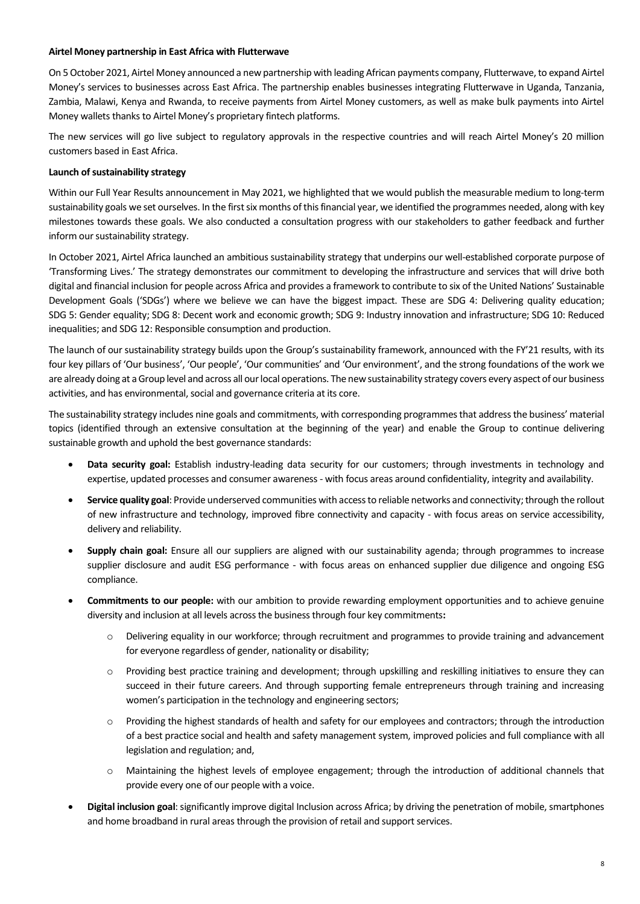#### **Airtel Money partnership in East Africa with Flutterwave**

On 5 October 2021, Airtel Money announced a new partnership with leading African payments company, Flutterwave, to expand Airtel Money's services to businesses across East Africa. The partnership enables businesses integrating Flutterwave in Uganda, Tanzania, Zambia, Malawi, Kenya and Rwanda, to receive payments from Airtel Money customers, as well as make bulk payments into Airtel Money wallets thanks to Airtel Money's proprietary fintech platforms.

The new services will go live subject to regulatory approvals in the respective countries and will reach Airtel Money's 20 million customers based in East Africa.

### **Launch of sustainability strategy**

Within our Full Year Results announcement in May 2021, we highlighted that we would publish the measurable medium to long-term sustainability goals we set ourselves. In the first six months of this financial year, we identified the programmes needed, along with key milestones towards these goals. We also conducted a consultation progress with our stakeholders to gather feedback and further inform our sustainability strategy.

In October 2021, Airtel Africa launched an ambitious sustainability strategy that underpins our well-established corporate purpose of 'Transforming Lives.' The strategy demonstrates our commitment to developing the infrastructure and services that will drive both digital and financial inclusion for people across Africa and provides a framework to contribute to six of the United Nations' Sustainable Development Goals ('SDGs') where we believe we can have the biggest impact. These are SDG 4: Delivering quality education; SDG 5: Gender equality; SDG 8: Decent work and economic growth; SDG 9: Industry innovation and infrastructure; SDG 10: Reduced inequalities; and SDG 12: Responsible consumption and production.

The launch of our sustainability strategy builds upon the Group's sustainability framework, announced with the FY'21 results, with its four key pillars of 'Our business', 'Our people', 'Our communities' and 'Our environment', and the strong foundations of the work we are already doing at a Group level and across all our local operations. The new sustainability strategy covers every aspect of our business activities, and has environmental, social and governance criteria at its core.

The sustainability strategy includes nine goals and commitments, with corresponding programmes that address the business' material topics (identified through an extensive consultation at the beginning of the year) and enable the Group to continue delivering sustainable growth and uphold the best governance standards:

- **Data security goal:** Establish industry-leading data security for our customers; through investments in technology and expertise, updated processes and consumer awareness - with focus areas around confidentiality, integrity and availability.
- **Service quality goal**: Provide underserved communities with access to reliable networks and connectivity;through the rollout of new infrastructure and technology, improved fibre connectivity and capacity - with focus areas on service accessibility, delivery and reliability.
- **Supply chain goal:** Ensure all our suppliers are aligned with our sustainability agenda; through programmes to increase supplier disclosure and audit ESG performance - with focus areas on enhanced supplier due diligence and ongoing ESG compliance.
- **Commitments to our people:** with our ambition to provide rewarding employment opportunities and to achieve genuine diversity and inclusion at all levels across the business through four key commitments**:**
	- o Delivering equality in our workforce; through recruitment and programmes to provide training and advancement for everyone regardless of gender, nationality or disability;
	- o Providing best practice training and development; through upskilling and reskilling initiatives to ensure they can succeed in their future careers. And through supporting female entrepreneurs through training and increasing women's participation in the technology and engineering sectors;
	- o Providing the highest standards of health and safety for our employees and contractors; through the introduction of a best practice social and health and safety management system, improved policies and full compliance with all legislation and regulation; and,
	- o Maintaining the highest levels of employee engagement; through the introduction of additional channels that provide every one of our people with a voice.
- **Digital inclusion goal**: significantly improve digital Inclusion across Africa; by driving the penetration of mobile, smartphones and home broadband in rural areas through the provision of retail and support services.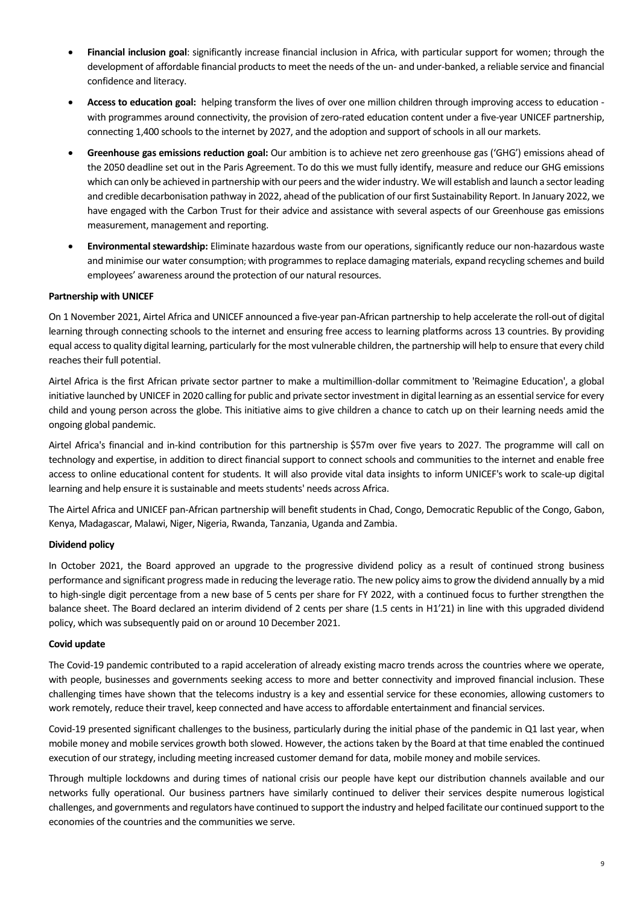- **Financial inclusion goal**: significantly increase financial inclusion in Africa, with particular support for women; through the development of affordable financial products to meet the needs of the un- and under-banked, a reliable service and financial confidence and literacy.
- **Access to education goal:** helping transform the lives of over one million children through improving access to education with programmes around connectivity, the provision of zero-rated education content under a five-year UNICEF partnership, connecting 1,400 schools to the internet by 2027, and the adoption and support of schools in all our markets.
- **Greenhouse gas emissions reduction goal:** Our ambition is to achieve net zero greenhouse gas ('GHG') emissions ahead of the 2050 deadline set out in the Paris Agreement. To do this we must fully identify, measure and reduce our GHG emissions which can only be achieved in partnership with our peers and the wider industry. We will establish and launch a sector leading and credible decarbonisation pathway in 2022, ahead of the publication of our first Sustainability Report. In January 2022, we have engaged with the Carbon Trust for their advice and assistance with several aspects of our Greenhouse gas emissions measurement, management and reporting.
- **Environmental stewardship:** Eliminate hazardous waste from our operations, significantly reduce our non-hazardous waste and minimise our water consumption; with programmes to replace damaging materials, expand recycling schemes and build employees' awareness around the protection of our natural resources.

## **Partnership with UNICEF**

On 1 November 2021, Airtel Africa and UNICEF announced a five-year pan-African partnership to help accelerate the roll-out of digital learning through connecting schools to the internet and ensuring free access to learning platforms across 13 countries. By providing equal access to quality digital learning, particularly for the most vulnerable children, the partnership will help to ensure that every child reaches their full potential.

Airtel Africa is the first African private sector partner to make a multimillion-dollar commitment to 'Reimagine Education', a global initiative launched by UNICEF in 2020 calling for public and private sector investment in digital learning as an essential service for every child and young person across the globe. This initiative aims to give children a chance to catch up on their learning needs amid the ongoing global pandemic.

Airtel Africa's financial and in-kind contribution for this partnership is \$57m over five years to 2027. The programme will call on technology and expertise, in addition to direct financial support to connect schools and communities to the internet and enable free access to online educational content for students. It will also provide vital data insights to inform UNICEF's work to scale-up digital learning and help ensure it is sustainable and meets students' needs across Africa.

The Airtel Africa and UNICEF pan-African partnership will benefit students in Chad, Congo, Democratic Republic of the Congo, Gabon, Kenya, Madagascar, Malawi, Niger, Nigeria, Rwanda, Tanzania, Uganda and Zambia.

## **Dividend policy**

In October 2021, the Board approved an upgrade to the progressive dividend policy as a result of continued strong business performance and significant progress made in reducing the leverage ratio. The new policy aims to grow the dividend annually by a mid to high-single digit percentage from a new base of 5 cents per share for FY 2022, with a continued focus to further strengthen the balance sheet. The Board declared an interim dividend of 2 cents per share (1.5 cents in H1'21) in line with this upgraded dividend policy, which was subsequently paid on or around 10 December 2021.

### **Covid update**

The Covid-19 pandemic contributed to a rapid acceleration of already existing macro trends across the countries where we operate, with people, businesses and governments seeking access to more and better connectivity and improved financial inclusion. These challenging times have shown that the telecoms industry is a key and essential service for these economies, allowing customers to work remotely, reduce their travel, keep connected and have access to affordable entertainment and financial services.

Covid-19 presented significant challenges to the business, particularly during the initial phase of the pandemic in Q1 last year, when mobile money and mobile services growth both slowed. However, the actions taken by the Board at that time enabled the continued execution of our strategy, including meeting increased customer demand for data, mobile money and mobile services.

Through multiple lockdowns and during times of national crisis our people have kept our distribution channels available and our networks fully operational. Our business partners have similarly continued to deliver their services despite numerous logistical challenges, and governments and regulators have continued to support the industry and helped facilitate our continued supportto the economies of the countries and the communities we serve.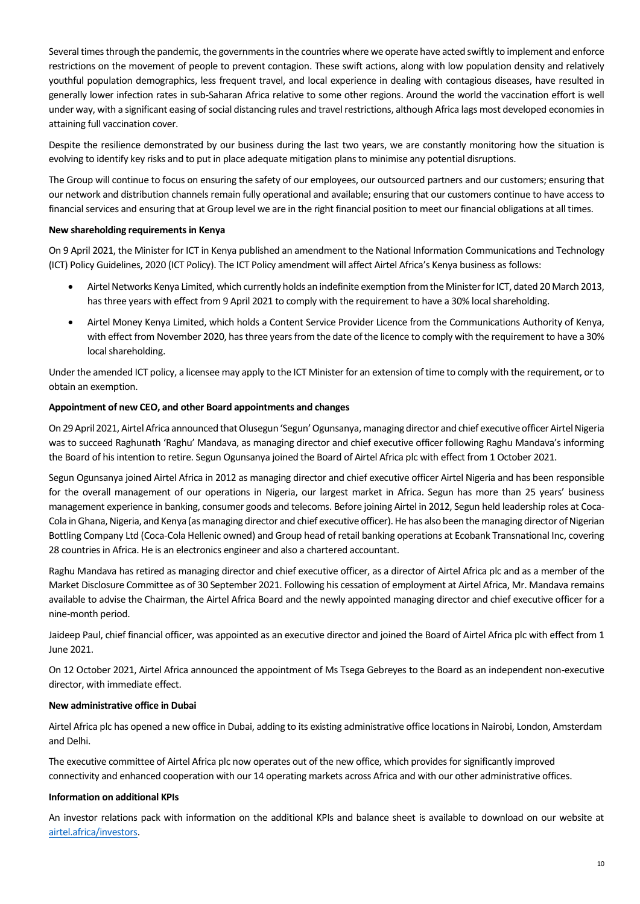Several times through the pandemic, the governments in the countries where we operate have acted swiftly to implement and enforce restrictions on the movement of people to prevent contagion. These swift actions, along with low population density and relatively youthful population demographics, less frequent travel, and local experience in dealing with contagious diseases, have resulted in generally lower infection rates in sub-Saharan Africa relative to some other regions. Around the world the vaccination effort is well under way, with a significant easing of social distancing rules and travel restrictions, although Africa lags most developed economies in attaining full vaccination cover.

Despite the resilience demonstrated by our business during the last two years, we are constantly monitoring how the situation is evolving to identify key risks and to put in place adequate mitigation plans to minimise any potential disruptions.

The Group will continue to focus on ensuring the safety of our employees, our outsourced partners and our customers; ensuring that our network and distribution channels remain fully operational and available; ensuring that our customers continue to have access to financial services and ensuring that at Group level we are in the right financial position to meet our financial obligations at all times.

### **New shareholding requirements in Kenya**

On 9 April 2021, the Minister for ICT in Kenya published an amendment to the National Information Communications and Technology (ICT) Policy Guidelines, 2020 (ICT Policy). The ICT Policy amendment will affect Airtel Africa's Kenya business as follows:

- Airtel Networks Kenya Limited, which currently holds an indefinite exemption from the Minister for ICT, dated 20 March 2013, has three years with effect from 9 April 2021 to comply with the requirement to have a 30% local shareholding.
- Airtel Money Kenya Limited, which holds a Content Service Provider Licence from the Communications Authority of Kenya, with effect from November 2020, has three years from the date of the licence to comply with the requirement to have a 30% local shareholding.

Under the amended ICT policy, a licensee may apply to the ICT Minister for an extension of time to comply with the requirement, or to obtain an exemption.

#### **Appointment of new CEO, and other Board appointments and changes**

On 29 April 2021, Airtel Africa announced that Olusegun 'Segun'Ogunsanya, managing director and chief executive officer Airtel Nigeria was to succeed Raghunath 'Raghu' Mandava, as managing director and chief executive officer following Raghu Mandava's informing the Board of his intention to retire. Segun Ogunsanya joined the Board of Airtel Africa plc with effect from 1 October 2021.

Segun Ogunsanya joined Airtel Africa in 2012 as managing director and chief executive officer Airtel Nigeria and has been responsible for the overall management of our operations in Nigeria, our largest market in Africa. Segun has more than 25 years' business management experience in banking, consumer goods and telecoms. Before joining Airtel in 2012, Segun held leadership roles at Coca-Cola in Ghana, Nigeria, and Kenya (as managing director and chief executive officer). He has also been the managing director of Nigerian Bottling Company Ltd (Coca-Cola Hellenic owned) and Group head of retail banking operations at Ecobank Transnational Inc, covering 28 countries in Africa. He is an electronics engineer and also a chartered accountant.

Raghu Mandava has retired as managing director and chief executive officer, as a director of Airtel Africa plc and as a member of the Market Disclosure Committee as of 30 September 2021. Following his cessation of employment at Airtel Africa, Mr. Mandava remains available to advise the Chairman, the Airtel Africa Board and the newly appointed managing director and chief executive officer for a nine-month period.

Jaideep Paul, chief financial officer, was appointed as an executive director and joined the Board of Airtel Africa plc with effect from 1 June 2021.

On 12 October 2021, Airtel Africa announced the appointment of Ms Tsega Gebreyes to the Board as an independent non-executive director, with immediate effect.

#### **New administrative office in Dubai**

Airtel Africa plc has opened a new office in Dubai, adding to its existing administrative office locations in Nairobi, London, Amsterdam and Delhi.

The executive committee of Airtel Africa plc now operates out of the new office, which provides for significantly improved connectivity and enhanced cooperation with our 14 operating markets across Africa and with our other administrative offices.

#### **Information on additional KPIs**

An investor relations pack with information on the additional KPIs and balance sheet is available to download on our website at [airtel.africa/investors.](https://airtel.africa/investors)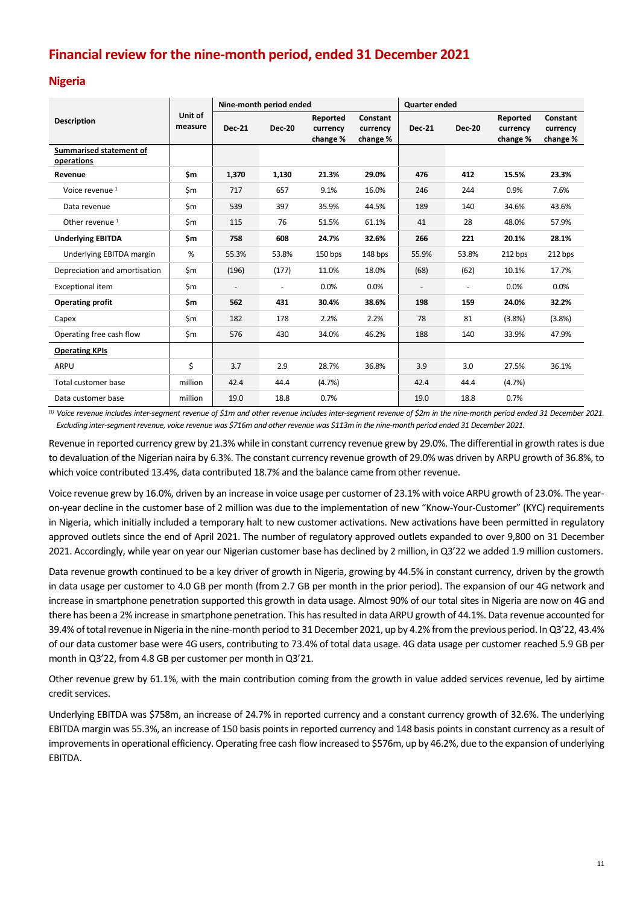# **Financial review for the nine-month period, ended 31 December 2021**

## **Nigeria**

|                                       |                    | Nine-month period ended |                          |                                  |                                  | <b>Quarter ended</b> |                          |                                  |                                  |
|---------------------------------------|--------------------|-------------------------|--------------------------|----------------------------------|----------------------------------|----------------------|--------------------------|----------------------------------|----------------------------------|
| <b>Description</b>                    | Unit of<br>measure | <b>Dec-21</b>           | <b>Dec-20</b>            | Reported<br>currency<br>change % | Constant<br>currency<br>change % | <b>Dec-21</b>        | <b>Dec-20</b>            | Reported<br>currency<br>change % | Constant<br>currency<br>change % |
| Summarised statement of<br>operations |                    |                         |                          |                                  |                                  |                      |                          |                                  |                                  |
| Revenue                               | \$m                | 1,370                   | 1,130                    | 21.3%                            | 29.0%                            | 476                  | 412                      | 15.5%                            | 23.3%                            |
| Voice revenue <sup>1</sup>            | \$m                | 717                     | 657                      | 9.1%                             | 16.0%                            | 246                  | 244                      | 0.9%                             | 7.6%                             |
| Data revenue                          | \$m                | 539                     | 397                      | 35.9%                            | 44.5%                            | 189                  | 140                      | 34.6%                            | 43.6%                            |
| Other revenue <sup>1</sup>            | \$m                | 115                     | 76                       | 51.5%                            | 61.1%                            | 41                   | 28                       | 48.0%                            | 57.9%                            |
| <b>Underlying EBITDA</b>              | \$m                | 758                     | 608                      | 24.7%                            | 32.6%                            | 266                  | 221                      | 20.1%                            | 28.1%                            |
| Underlying EBITDA margin              | %                  | 55.3%                   | 53.8%                    | 150 bps                          | 148 bps                          | 55.9%                | 53.8%                    | 212 bps                          | 212 bps                          |
| Depreciation and amortisation         | \$m                | (196)                   | (177)                    | 11.0%                            | 18.0%                            | (68)                 | (62)                     | 10.1%                            | 17.7%                            |
| <b>Exceptional item</b>               | \$m                | $\qquad \qquad -$       | $\overline{\phantom{a}}$ | 0.0%                             | 0.0%                             |                      | $\overline{\phantom{a}}$ | 0.0%                             | 0.0%                             |
| <b>Operating profit</b>               | \$m                | 562                     | 431                      | 30.4%                            | 38.6%                            | 198                  | 159                      | 24.0%                            | 32.2%                            |
| Capex                                 | \$m                | 182                     | 178                      | 2.2%                             | 2.2%                             | 78                   | 81                       | (3.8%)                           | (3.8%)                           |
| Operating free cash flow              | \$m                | 576                     | 430                      | 34.0%                            | 46.2%                            | 188                  | 140                      | 33.9%                            | 47.9%                            |
| <b>Operating KPIs</b>                 |                    |                         |                          |                                  |                                  |                      |                          |                                  |                                  |
| ARPU                                  | \$                 | 3.7                     | 2.9                      | 28.7%                            | 36.8%                            | 3.9                  | 3.0                      | 27.5%                            | 36.1%                            |
| Total customer base                   | million            | 42.4                    | 44.4                     | (4.7%)                           |                                  | 42.4                 | 44.4                     | (4.7%)                           |                                  |
| Data customer base                    | million            | 19.0                    | 18.8                     | 0.7%                             |                                  | 19.0                 | 18.8                     | 0.7%                             |                                  |

<sup>(1)</sup> Voice revenue includes inter-segment revenue of \$1m and other revenue includes inter-segment revenue of \$2m in the nine-month period ended 31 December 2021. Excluding inter-segment revenue, voice revenue was \$716m and other revenue was \$113m in the nine-month period ended 31 December 2021.

Revenue in reported currency grew by 21.3% while in constant currency revenue grew by 29.0%. The differential in growth rates is due to devaluation of the Nigerian naira by 6.3%. The constant currency revenue growth of 29.0% was driven by ARPU growth of 36.8%, to which voice contributed 13.4%, data contributed 18.7% and the balance came from other revenue.

Voice revenue grew by 16.0%, driven by an increase in voice usage per customer of 23.1% with voice ARPU growth of 23.0%. The yearon-year decline in the customer base of 2 million was due to the implementation of new "Know-Your-Customer" (KYC) requirements in Nigeria, which initially included a temporary halt to new customer activations. New activations have been permitted in regulatory approved outlets since the end of April 2021. The number of regulatory approved outlets expanded to over 9,800 on 31 December 2021. Accordingly, while year on year our Nigerian customer base has declined by 2 million, in Q3'22 we added 1.9 million customers.

Data revenue growth continued to be a key driver of growth in Nigeria, growing by 44.5% in constant currency, driven by the growth in data usage per customer to 4.0 GB per month (from 2.7 GB per month in the prior period). The expansion of our 4G network and increase in smartphone penetration supported this growth in data usage. Almost 90% of our total sites in Nigeria are now on 4G and there has been a 2% increase in smartphone penetration. This has resulted in data ARPU growth of 44.1%. Data revenue accounted for 39.4% of total revenue in Nigeria in the nine-month period to 31 December 2021, up by 4.2% from the previous period. InQ3'22, 43.4% of our data customer base were 4G users, contributing to 73.4% of total data usage. 4G data usage per customer reached 5.9 GB per month in Q3'22, from 4.8 GB per customer per month in Q3'21.

Other revenue grew by 61.1%, with the main contribution coming from the growth in value added services revenue, led by airtime credit services.

Underlying EBITDA was \$758m, an increase of 24.7% in reported currency and a constant currency growth of 32.6%. The underlying EBITDA margin was 55.3%, an increase of 150 basis points in reported currency and 148 basis points in constant currency as a result of improvements in operational efficiency. Operating free cash flow increased to \$576m, up by 46.2%, due to the expansion of underlying EBITDA.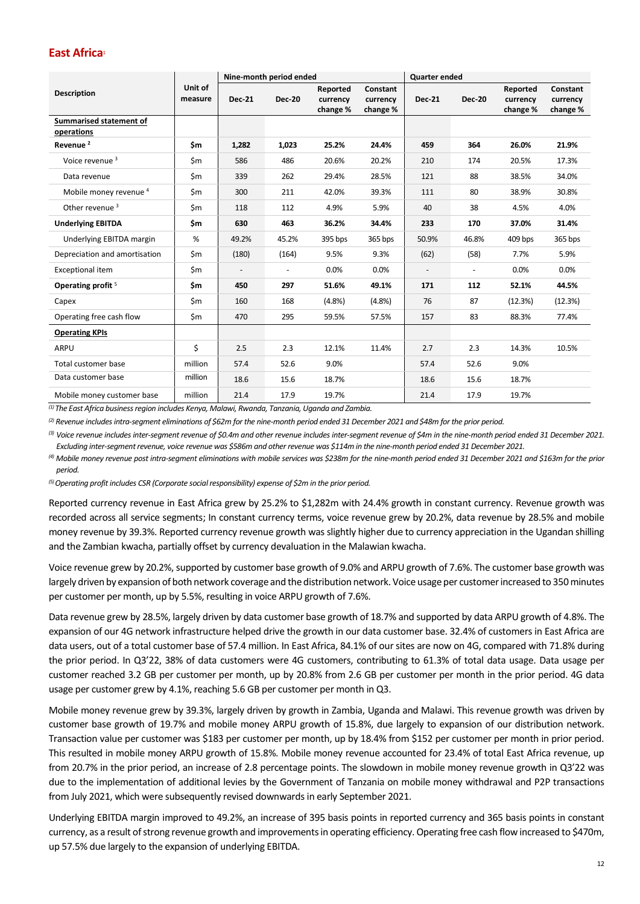## **East Africa**<sup>1</sup>

|                                       | Nine-month period ended |               |                |                                  | <b>Quarter ended</b>             |               |               |                                  |                                  |
|---------------------------------------|-------------------------|---------------|----------------|----------------------------------|----------------------------------|---------------|---------------|----------------------------------|----------------------------------|
| <b>Description</b>                    | Unit of<br>measure      | <b>Dec-21</b> | <b>Dec-20</b>  | Reported<br>currency<br>change % | Constant<br>currency<br>change % | <b>Dec-21</b> | <b>Dec-20</b> | Reported<br>currency<br>change % | Constant<br>currency<br>change % |
| Summarised statement of<br>operations |                         |               |                |                                  |                                  |               |               |                                  |                                  |
| Revenue <sup>2</sup>                  | \$m                     | 1,282         | 1,023          | 25.2%                            | 24.4%                            | 459           | 364           | 26.0%                            | 21.9%                            |
| Voice revenue <sup>3</sup>            | \$m                     | 586           | 486            | 20.6%                            | 20.2%                            | 210           | 174           | 20.5%                            | 17.3%                            |
| Data revenue                          | \$m                     | 339           | 262            | 29.4%                            | 28.5%                            | 121           | 88            | 38.5%                            | 34.0%                            |
| Mobile money revenue <sup>4</sup>     | \$m                     | 300           | 211            | 42.0%                            | 39.3%                            | 111           | 80            | 38.9%                            | 30.8%                            |
| Other revenue <sup>3</sup>            | \$m                     | 118           | 112            | 4.9%                             | 5.9%                             | 40            | 38            | 4.5%                             | 4.0%                             |
| <b>Underlying EBITDA</b>              | \$m                     | 630           | 463            | 36.2%                            | 34.4%                            | 233           | 170           | 37.0%                            | 31.4%                            |
| Underlying EBITDA margin              | %                       | 49.2%         | 45.2%          | 395 bps                          | 365 bps                          | 50.9%         | 46.8%         | 409 bps                          | 365 bps                          |
| Depreciation and amortisation         | \$m                     | (180)         | (164)          | 9.5%                             | 9.3%                             | (62)          | (58)          | 7.7%                             | 5.9%                             |
| Exceptional item                      | \$m                     |               | $\blacksquare$ | 0.0%                             | 0.0%                             |               | $\sim$        | 0.0%                             | 0.0%                             |
| Operating profit <sup>5</sup>         | \$m                     | 450           | 297            | 51.6%                            | 49.1%                            | 171           | 112           | 52.1%                            | 44.5%                            |
| Capex                                 | \$m                     | 160           | 168            | (4.8%)                           | (4.8%)                           | 76            | 87            | (12.3%)                          | (12.3%)                          |
| Operating free cash flow              | \$m                     | 470           | 295            | 59.5%                            | 57.5%                            | 157           | 83            | 88.3%                            | 77.4%                            |
| <b>Operating KPIs</b>                 |                         |               |                |                                  |                                  |               |               |                                  |                                  |
| ARPU                                  | \$                      | 2.5           | 2.3            | 12.1%                            | 11.4%                            | 2.7           | 2.3           | 14.3%                            | 10.5%                            |
| <b>Total customer base</b>            | million                 | 57.4          | 52.6           | 9.0%                             |                                  | 57.4          | 52.6          | 9.0%                             |                                  |
| Data customer base                    | million                 | 18.6          | 15.6           | 18.7%                            |                                  | 18.6          | 15.6          | 18.7%                            |                                  |
| Mobile money customer base            | million                 | 21.4          | 17.9           | 19.7%                            |                                  | 21.4          | 17.9          | 19.7%                            |                                  |

*(1) The East Africa business region includes Kenya, Malawi, Rwanda, Tanzania, Uganda and Zambia.*

*(2) Revenue includes intra-segment eliminations of \$62m for the nine-month period ended 31 December 2021 and \$48m for the prior period.* 

<sup>(3)</sup> Voice revenue includes inter-segment revenue of \$0.4m and other revenue includes inter-segment revenue of \$4m in the nine-month period ended 31 December 2021. *Excluding inter-segmentrevenue, voice revenue was \$586m and other revenue was \$114m in the nine-month period ended 31 December 2021.*

*(4) Mobile money revenue post intra-segment eliminations with mobile services was \$238m for the nine-month period ended 31 December 2021 and \$163m for the prior period.*

*(5) Operating profit includes CSR (Corporate social responsibility) expense of \$2m in the prior period.* 

Reported currency revenue in East Africa grew by 25.2% to \$1,282m with 24.4% growth in constant currency. Revenue growth was recorded across all service segments; In constant currency terms, voice revenue grew by 20.2%, data revenue by 28.5% and mobile money revenue by 39.3%. Reported currency revenue growth was slightly higher due to currency appreciation in the Ugandan shilling and the Zambian kwacha, partially offset by currency devaluation in the Malawian kwacha.

Voice revenue grew by 20.2%, supported by customer base growth of 9.0% and ARPU growth of 7.6%. The customer base growth was largely driven by expansion of both network coverage and the distribution network. Voice usage per customer increased to 350 minutes per customer per month, up by 5.5%, resulting in voice ARPU growth of 7.6%.

Data revenue grew by 28.5%, largely driven by data customer base growth of 18.7% and supported by data ARPU growth of 4.8%. The expansion of our 4G network infrastructure helped drive the growth in our data customer base. 32.4% of customers in East Africa are data users, out of a total customer base of 57.4 million. In East Africa, 84.1% of our sites are now on 4G, compared with 71.8% during the prior period. In Q3'22, 38% of data customers were 4G customers, contributing to 61.3% of total data usage. Data usage per customer reached 3.2 GB per customer per month, up by 20.8% from 2.6 GB per customer per month in the prior period. 4G data usage per customer grew by 4.1%, reaching 5.6 GB per customer per month in Q3.

Mobile money revenue grew by 39.3%, largely driven by growth in Zambia, Uganda and Malawi. This revenue growth was driven by customer base growth of 19.7% and mobile money ARPU growth of 15.8%, due largely to expansion of our distribution network. Transaction value per customer was \$183 per customer per month, up by 18.4% from \$152 per customer per month in prior period. This resulted in mobile money ARPU growth of 15.8%. Mobile money revenue accounted for 23.4% of total East Africa revenue, up from 20.7% in the prior period, an increase of 2.8 percentage points. The slowdown in mobile money revenue growth in Q3'22 was due to the implementation of additional levies by the Government of Tanzania on mobile money withdrawal and P2P transactions from July 2021, which were subsequently revised downwards in early September 2021.

Underlying EBITDA margin improved to 49.2%, an increase of 395 basis points in reported currency and 365 basis points in constant currency, as a result of strong revenue growth and improvementsin operating efficiency. Operating free cash flow increased to \$470m, up 57.5% due largely to the expansion of underlying EBITDA.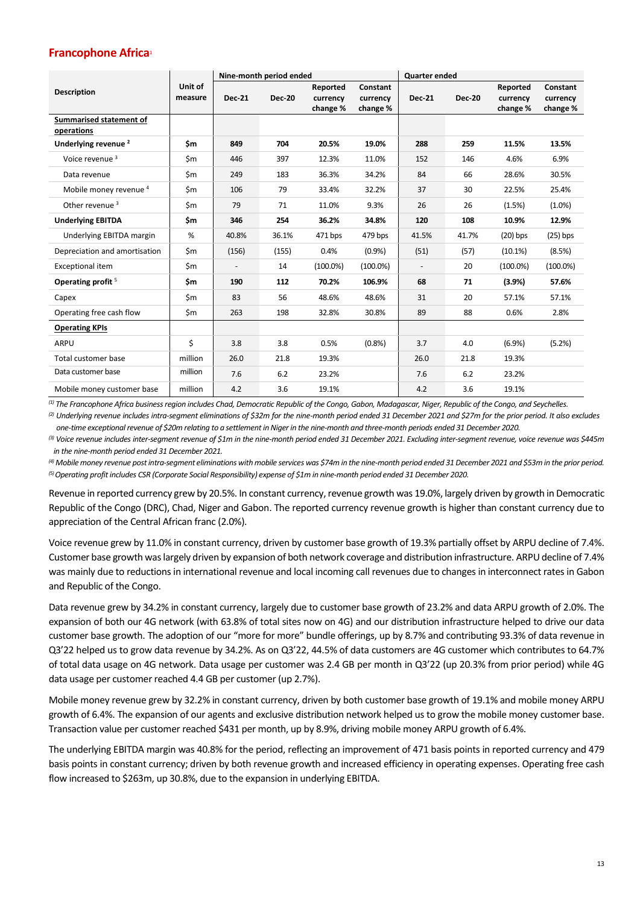# **Francophone Africa**<sup>1</sup>

|                                 |                    | Nine-month period ended |               |                      |                      | <b>Quarter ended</b>     |               |                      |                      |
|---------------------------------|--------------------|-------------------------|---------------|----------------------|----------------------|--------------------------|---------------|----------------------|----------------------|
| <b>Description</b>              | Unit of<br>measure | <b>Dec-21</b>           | <b>Dec-20</b> | Reported<br>currency | Constant<br>currency | <b>Dec-21</b>            | <b>Dec-20</b> | Reported<br>currency | Constant<br>currency |
|                                 |                    |                         |               | change %             | change %             |                          |               | change %             | change %             |
| Summarised statement of         |                    |                         |               |                      |                      |                          |               |                      |                      |
| operations                      |                    |                         |               |                      |                      |                          |               |                      |                      |
| Underlying revenue <sup>2</sup> | \$m                | 849                     | 704           | 20.5%                | 19.0%                | 288                      | 259           | 11.5%                | 13.5%                |
| Voice revenue <sup>3</sup>      | \$m                | 446                     | 397           | 12.3%                | 11.0%                | 152                      | 146           | 4.6%                 | 6.9%                 |
| Data revenue                    | \$m                | 249                     | 183           | 36.3%                | 34.2%                | 84                       | 66            | 28.6%                | 30.5%                |
| Mobile money revenue 4          | \$m                | 106                     | 79            | 33.4%                | 32.2%                | 37                       | 30            | 22.5%                | 25.4%                |
| Other revenue <sup>3</sup>      | \$m                | 79                      | 71            | 11.0%                | 9.3%                 | 26                       | 26            | (1.5%)               | $(1.0\%)$            |
| <b>Underlying EBITDA</b>        | \$m                | 346                     | 254           | 36.2%                | 34.8%                | 120                      | 108           | 10.9%                | 12.9%                |
| Underlying EBITDA margin        | %                  | 40.8%                   | 36.1%         | 471 bps              | 479 bps              | 41.5%                    | 41.7%         | $(20)$ bps           | $(25)$ bps           |
| Depreciation and amortisation   | \$m                | (156)                   | (155)         | 0.4%                 | (0.9%                | (51)                     | (57)          | (10.1%)              | (8.5%)               |
| Exceptional item                | \$m                |                         | 14            | $(100.0\%)$          | $(100.0\%)$          | $\overline{\phantom{a}}$ | 20            | $(100.0\%)$          | $(100.0\%)$          |
| Operating profit <sup>5</sup>   | \$m                | 190                     | 112           | 70.2%                | 106.9%               | 68                       | 71            | (3.9%)               | 57.6%                |
| Capex                           | \$m                | 83                      | 56            | 48.6%                | 48.6%                | 31                       | 20            | 57.1%                | 57.1%                |
| Operating free cash flow        | \$m                | 263                     | 198           | 32.8%                | 30.8%                | 89                       | 88            | 0.6%                 | 2.8%                 |
| <b>Operating KPIs</b>           |                    |                         |               |                      |                      |                          |               |                      |                      |
| <b>ARPU</b>                     | \$                 | 3.8                     | 3.8           | 0.5%                 | (0.8% )              | 3.7                      | 4.0           | (6.9%                | (5.2%)               |
| Total customer base             | million            | 26.0                    | 21.8          | 19.3%                |                      | 26.0                     | 21.8          | 19.3%                |                      |
| Data customer base              | million            | 7.6                     | 6.2           | 23.2%                |                      | 7.6                      | 6.2           | 23.2%                |                      |
| Mobile money customer base      | million            | 4.2                     | 3.6           | 19.1%                |                      | 4.2                      | 3.6           | 19.1%                |                      |

*(1) The Francophone Africa business region includes Chad, Democratic Republic of the Congo, Gabon, Madagascar, Niger, Republic of the Congo, and Seychelles.* 

<sup>(2)</sup> Underlying revenue includes intra-segment eliminations of \$32m for the nine-month period ended 31 December 2021 and \$27m for the prior period. It also excludes *one-time exceptional revenue of \$20m relating to a settlement in Niger in the nine-month and three-month periods ended 31 December 2020.*

<sup>(3)</sup> Voice revenue includes inter-segment revenue of \$1m in the nine-month period ended 31 December 2021. Excluding inter-segment revenue, voice revenue was \$445m *in the nine-month period ended 31 December 2021.*

*(4) Mobile money revenue post intra-segment eliminations with mobile services was \$74m in the nine-month period ended 31 December 2021 and \$53m in the prior period. (5) Operating profit includes CSR (Corporate Social Responsibility) expense of \$1m in nine-month period ended 31 December 2020.*

Revenue in reported currency grew by 20.5%. In constant currency, revenue growth was 19.0%, largely driven by growth in Democratic Republic of the Congo (DRC), Chad, Niger and Gabon. The reported currency revenue growth is higher than constant currency due to appreciation of the Central African franc (2.0%).

Voice revenue grew by 11.0% in constant currency, driven by customer base growth of 19.3% partially offset by ARPU decline of 7.4%. Customer base growth was largely driven by expansion of both network coverage and distribution infrastructure. ARPU decline of 7.4% was mainly due to reductions in international revenue and local incoming call revenues due to changes in interconnect rates in Gabon and Republic of the Congo.

Data revenue grew by 34.2% in constant currency, largely due to customer base growth of 23.2% and data ARPU growth of 2.0%. The expansion of both our 4G network (with 63.8% of total sites now on 4G) and our distribution infrastructure helped to drive our data customer base growth. The adoption of our "more for more" bundle offerings, up by 8.7% and contributing 93.3% of data revenue in Q3'22 helped us to grow data revenue by 34.2%. As on Q3'22, 44.5% of data customers are 4G customer which contributes to 64.7% of total data usage on 4G network. Data usage per customer was 2.4 GB per month in Q3'22 (up 20.3% from prior period) while 4G data usage per customer reached 4.4 GB per customer (up 2.7%).

Mobile money revenue grew by 32.2% in constant currency, driven by both customer base growth of 19.1% and mobile money ARPU growth of 6.4%. The expansion of our agents and exclusive distribution network helped us to grow the mobile money customer base. Transaction value per customer reached \$431 per month, up by 8.9%, driving mobile money ARPU growth of 6.4%.

The underlying EBITDA margin was 40.8% for the period, reflecting an improvement of 471 basis points in reported currency and 479 basis points in constant currency; driven by both revenue growth and increased efficiency in operating expenses. Operating free cash flow increased to \$263m, up 30.8%, due to the expansion in underlying EBITDA.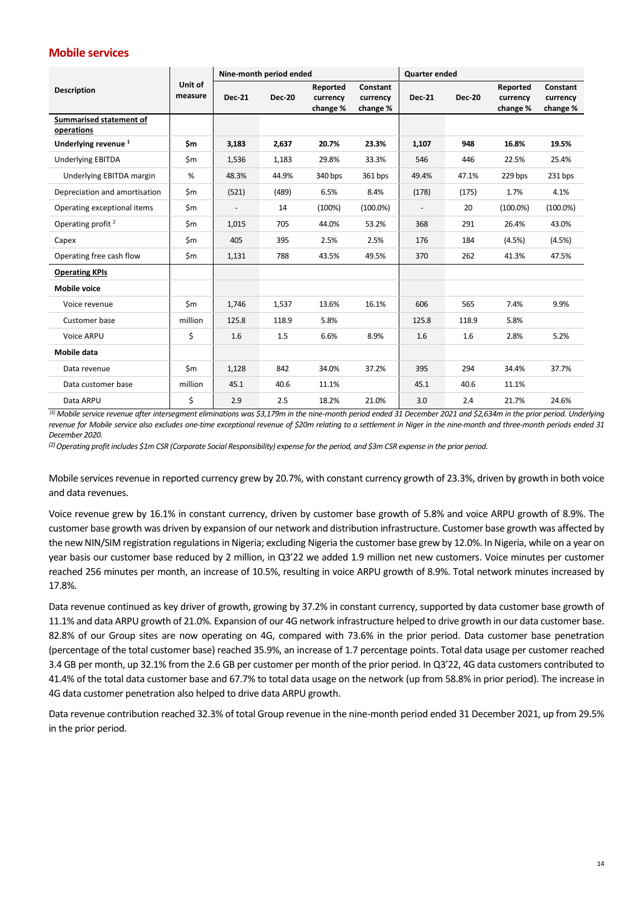## **Mobile services**

|                                       |                    | Nine-month period ended  |               |                                  |                                  | <b>Quarter ended</b>     |               |                                  |                                  |
|---------------------------------------|--------------------|--------------------------|---------------|----------------------------------|----------------------------------|--------------------------|---------------|----------------------------------|----------------------------------|
| <b>Description</b>                    | Unit of<br>measure | <b>Dec-21</b>            | <b>Dec-20</b> | Reported<br>currency<br>change % | Constant<br>currency<br>change % | <b>Dec-21</b>            | <b>Dec-20</b> | Reported<br>currency<br>change % | Constant<br>currency<br>change % |
| Summarised statement of<br>operations |                    |                          |               |                                  |                                  |                          |               |                                  |                                  |
| Underlying revenue <sup>1</sup>       | \$m                | 3,183                    | 2,637         | 20.7%                            | 23.3%                            | 1,107                    | 948           | 16.8%                            | 19.5%                            |
| <b>Underlying EBITDA</b>              | \$m                | 1,536                    | 1,183         | 29.8%                            | 33.3%                            | 546                      | 446           | 22.5%                            | 25.4%                            |
| Underlying EBITDA margin              | %                  | 48.3%                    | 44.9%         | 340 bps                          | 361 bps                          | 49.4%                    | 47.1%         | 229 bps                          | 231 bps                          |
| Depreciation and amortisation         | \$m                | (521)                    | (489)         | 6.5%                             | 8.4%                             | (178)                    | (175)         | 1.7%                             | 4.1%                             |
| Operating exceptional items           | \$m                | $\overline{\phantom{a}}$ | 14            | (100%)                           | $(100.0\%)$                      | $\overline{\phantom{a}}$ | 20            | $(100.0\%)$                      | $(100.0\%)$                      |
| Operating profit <sup>2</sup>         | \$m                | 1,015                    | 705           | 44.0%                            | 53.2%                            | 368                      | 291           | 26.4%                            | 43.0%                            |
| Capex                                 | \$m                | 405                      | 395           | 2.5%                             | 2.5%                             | 176                      | 184           | (4.5%)                           | (4.5%)                           |
| Operating free cash flow              | \$m                | 1,131                    | 788           | 43.5%                            | 49.5%                            | 370                      | 262           | 41.3%                            | 47.5%                            |
| <b>Operating KPIs</b>                 |                    |                          |               |                                  |                                  |                          |               |                                  |                                  |
| <b>Mobile voice</b>                   |                    |                          |               |                                  |                                  |                          |               |                                  |                                  |
| Voice revenue                         | \$m                | 1,746                    | 1,537         | 13.6%                            | 16.1%                            | 606                      | 565           | 7.4%                             | 9.9%                             |
| Customer base                         | million            | 125.8                    | 118.9         | 5.8%                             |                                  | 125.8                    | 118.9         | 5.8%                             |                                  |
| Voice ARPU                            | \$                 | 1.6                      | 1.5           | 6.6%                             | 8.9%                             | 1.6                      | 1.6           | 2.8%                             | 5.2%                             |
| Mobile data                           |                    |                          |               |                                  |                                  |                          |               |                                  |                                  |
| Data revenue                          | \$m                | 1,128                    | 842           | 34.0%                            | 37.2%                            | 395                      | 294           | 34.4%                            | 37.7%                            |
| Data customer base                    | million            | 45.1                     | 40.6          | 11.1%                            |                                  | 45.1                     | 40.6          | 11.1%                            |                                  |
| Data ARPU                             | \$                 | 2.9                      | 2.5           | 18.2%                            | 21.0%                            | 3.0                      | 2.4           | 21.7%                            | 24.6%                            |

*(1) Mobile service revenue after intersegment eliminations was \$3,179m in the nine-month period ended 31 December 2021 and \$2,634m in the prior period. Underlying revenue for Mobile service also excludes one-time exceptional revenue of \$20m relating to a settlement in Niger in the nine-month and three-month periods ended 31 December 2020.*

*(2) Operating profit includes \$1m CSR (Corporate Social Responsibility) expense for the period, and \$3m CSR expense in the prior period.*

Mobile services revenue in reported currency grew by 20.7%, with constant currency growth of 23.3%, driven by growth in both voice and data revenues.

Voice revenue grew by 16.1% in constant currency, driven by customer base growth of 5.8% and voice ARPU growth of 8.9%. The customer base growth was driven by expansion of our network and distribution infrastructure. Customer base growth was affected by the new NIN/SIM registration regulations in Nigeria; excluding Nigeria the customer base grew by 12.0%. In Nigeria, while on a year on year basis our customer base reduced by 2 million, in Q3'22 we added 1.9 million net new customers. Voice minutes per customer reached 256 minutes per month, an increase of 10.5%, resulting in voice ARPU growth of 8.9%. Total network minutes increased by 17.8%.

Data revenue continued as key driver of growth, growing by 37.2% in constant currency, supported by data customer base growth of 11.1% and data ARPU growth of 21.0%. Expansion of our 4G network infrastructure helped to drive growth in our data customer base. 82.8% of our Group sites are now operating on 4G, compared with 73.6% in the prior period. Data customer base penetration (percentage of the total customer base) reached 35.9%, an increase of 1.7 percentage points. Total data usage per customer reached 3.4 GB per month, up 32.1% from the 2.6 GB per customer per month of the prior period. In Q3'22, 4G data customers contributed to 41.4% of the total data customer base and 67.7% to total data usage on the network (up from 58.8% in prior period). The increase in 4G data customer penetration also helped to drive data ARPU growth.

Data revenue contribution reached 32.3% of total Group revenue in the nine-month period ended 31 December 2021, up from 29.5% in the prior period.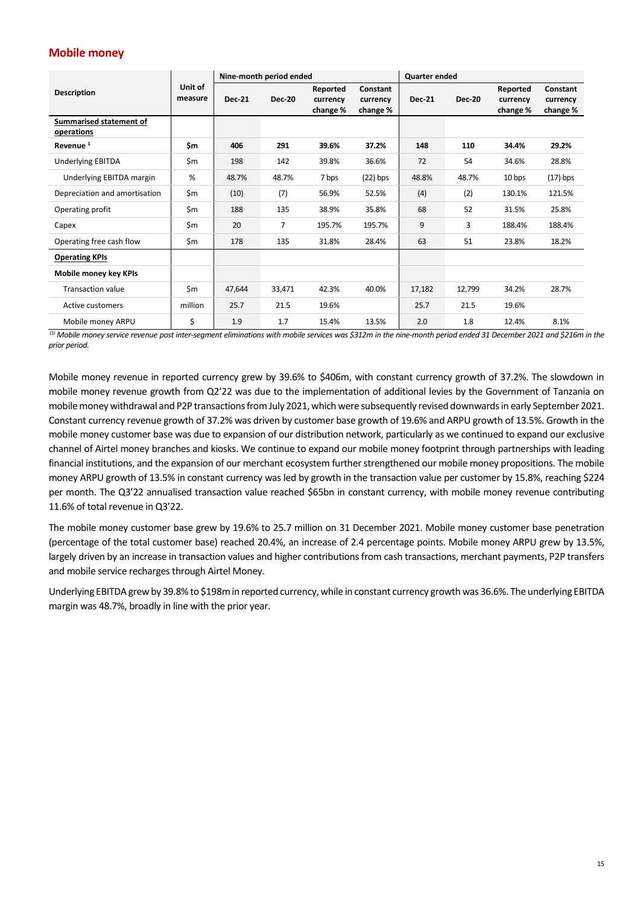## **Mobile money**

|                                       |                    | Nine-month period ended |                |                                  |                                  | Quarter ended |               |                                  |                                  |
|---------------------------------------|--------------------|-------------------------|----------------|----------------------------------|----------------------------------|---------------|---------------|----------------------------------|----------------------------------|
| <b>Description</b>                    | Unit of<br>measure | <b>Dec-21</b>           | <b>Dec-20</b>  | Reported<br>currency<br>change % | Constant<br>currency<br>change % | <b>Dec-21</b> | <b>Dec-20</b> | Reported<br>currency<br>change % | Constant<br>currency<br>change % |
| Summarised statement of<br>operations |                    |                         |                |                                  |                                  |               |               |                                  |                                  |
| Revenue <sup>1</sup>                  | \$m                | 406                     | 291            | 39.6%                            | 37.2%                            | 148           | 110           | 34.4%                            | 29.2%                            |
| <b>Underlying EBITDA</b>              | \$m                | 198                     | 142            | 39.8%                            | 36.6%                            | 72            | 54            | 34.6%                            | 28.8%                            |
| Underlying EBITDA margin              | %                  | 48.7%                   | 48.7%          | 7 bps                            | $(22)$ bps                       | 48.8%         | 48.7%         | 10 bps                           | $(17)$ bps                       |
| Depreciation and amortisation         | \$m                | (10)                    | (7)            | 56.9%                            | 52.5%                            | (4)           | (2)           | 130.1%                           | 121.5%                           |
| Operating profit                      | \$m                | 188                     | 135            | 38.9%                            | 35.8%                            | 68            | 52            | 31.5%                            | 25.8%                            |
| Capex                                 | \$m                | 20                      | $\overline{7}$ | 195.7%                           | 195.7%                           | 9             | 3             | 188.4%                           | 188.4%                           |
| Operating free cash flow              | \$m                | 178                     | 135            | 31.8%                            | 28.4%                            | 63            | 51            | 23.8%                            | 18.2%                            |
| <b>Operating KPIs</b>                 |                    |                         |                |                                  |                                  |               |               |                                  |                                  |
| Mobile money key KPIs                 |                    |                         |                |                                  |                                  |               |               |                                  |                                  |
| <b>Transaction value</b>              | \$m                | 47,644                  | 33,471         | 42.3%                            | 40.0%                            | 17,182        | 12,799        | 34.2%                            | 28.7%                            |
| Active customers                      | million            | 25.7                    | 21.5           | 19.6%                            |                                  | 25.7          | 21.5          | 19.6%                            |                                  |
| Mobile money ARPU                     | \$                 | 1.9                     | 1.7            | 15.4%                            | 13.5%                            | 2.0           | 1.8           | 12.4%                            | 8.1%                             |

*(1) Mobile money service revenue post inter-segment eliminations with mobile services was \$312m in the nine-month period ended 31 December 2021 and \$216m in the prior period.*

Mobile money revenue in reported currency grew by 39.6% to \$406m, with constant currency growth of 37.2%. The slowdown in mobile money revenue growth from Q2'22 was due to the implementation of additional levies by the Government of Tanzania on mobile money withdrawal and P2P transactions from July 2021, which were subsequently revised downwards in early September 2021. Constant currency revenue growth of 37.2% was driven by customer base growth of 19.6% and ARPU growth of 13.5%. Growth in the mobile money customer base was due to expansion of our distribution network, particularly as we continued to expand our exclusive channel of Airtel money branches and kiosks. We continue to expand our mobile money footprint through partnerships with leading financial institutions, and the expansion of our merchant ecosystem further strengthened our mobile money propositions. The mobile money ARPU growth of 13.5% in constant currency was led by growth in the transaction value per customer by 15.8%, reaching \$224 per month. The Q3'22 annualised transaction value reached \$65bn in constant currency, with mobile money revenue contributing 11.6% of total revenue in Q3'22.

The mobile money customer base grew by 19.6% to 25.7 million on 31 December 2021. Mobile money customer base penetration (percentage of the total customer base) reached 20.4%, an increase of 2.4 percentage points. Mobile money ARPU grew by 13.5%, largely driven by an increase in transaction values and higher contributions from cash transactions, merchant payments, P2P transfers and mobile service recharges through Airtel Money.

Underlying EBITDA grew by 39.8% to \$198min reported currency, while in constant currency growth was 36.6%. The underlying EBITDA margin was 48.7%, broadly in line with the prior year.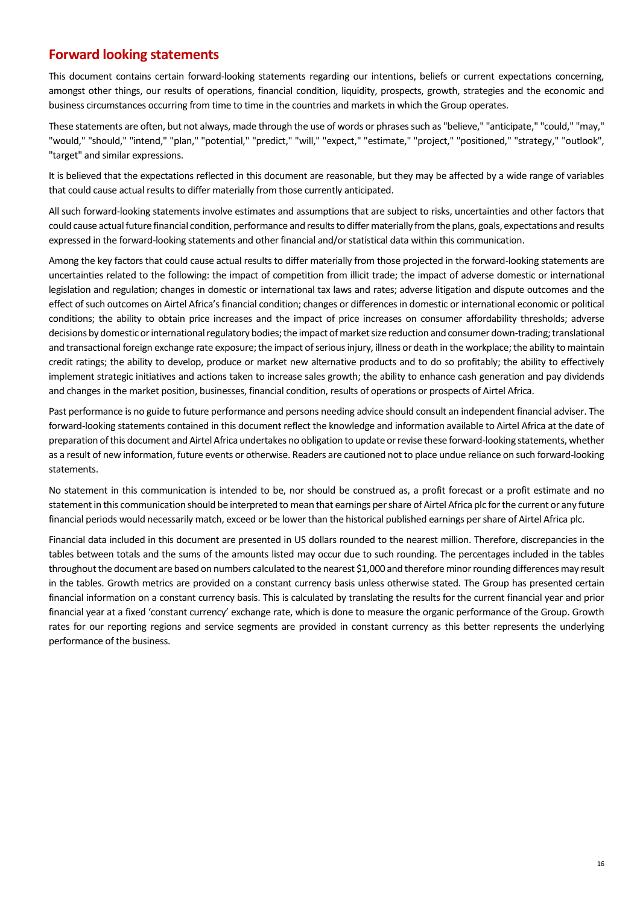# **Forward looking statements**

This document contains certain forward-looking statements regarding our intentions, beliefs or current expectations concerning, amongst other things, our results of operations, financial condition, liquidity, prospects, growth, strategies and the economic and business circumstances occurring from time to time in the countries and markets in which the Group operates.

These statements are often, but not always, made through the use of words or phrases such as "believe," "anticipate," "could," "may," "would," "should," "intend," "plan," "potential," "predict," "will," "expect," "estimate," "project," "positioned," "strategy," "outlook", "target" and similar expressions.

It is believed that the expectations reflected in this document are reasonable, but they may be affected by a wide range of variables that could cause actual results to differ materially from those currently anticipated.

All such forward-looking statements involve estimates and assumptions that are subject to risks, uncertainties and other factors that could cause actual future financial condition, performance and results to differ materially from the plans, goals, expectations and results expressed in the forward-looking statements and other financial and/or statistical data within this communication.

Among the key factors that could cause actual results to differ materially from those projected in the forward-looking statements are uncertainties related to the following: the impact of competition from illicit trade; the impact of adverse domestic or international legislation and regulation; changes in domestic or international tax laws and rates; adverse litigation and dispute outcomes and the effect of such outcomes on Airtel Africa's financial condition; changes or differences in domestic or international economic or political conditions; the ability to obtain price increases and the impact of price increases on consumer affordability thresholds; adverse decisions by domestic or international regulatory bodies; the impact of market size reduction and consumer down-trading; translational and transactional foreign exchange rate exposure; the impact of serious injury, illness or death in the workplace; the ability to maintain credit ratings; the ability to develop, produce or market new alternative products and to do so profitably; the ability to effectively implement strategic initiatives and actions taken to increase sales growth; the ability to enhance cash generation and pay dividends and changes in the market position, businesses, financial condition, results of operations or prospects of Airtel Africa.

Past performance is no guide to future performance and persons needing advice should consult an independent financial adviser. The forward-looking statements contained in this document reflect the knowledge and information available to Airtel Africa at the date of preparation of this document and Airtel Africa undertakes no obligation to update or revise these forward-looking statements, whether as a result of new information, future events or otherwise. Readers are cautioned not to place undue reliance on such forward-looking statements.

No statement in this communication is intended to be, nor should be construed as, a profit forecast or a profit estimate and no statement in this communication should be interpreted to mean that earnings per share of Airtel Africa plc for the current or any future financial periods would necessarily match, exceed or be lower than the historical published earnings per share of Airtel Africa plc.

Financial data included in this document are presented in US dollars rounded to the nearest million. Therefore, discrepancies in the tables between totals and the sums of the amounts listed may occur due to such rounding. The percentages included in the tables throughout the document are based on numbers calculated to the nearest \$1,000 and therefore minor rounding differences may result in the tables. Growth metrics are provided on a constant currency basis unless otherwise stated. The Group has presented certain financial information on a constant currency basis. This is calculated by translating the results for the current financial year and prior financial year at a fixed 'constant currency' exchange rate, which is done to measure the organic performance of the Group. Growth rates for our reporting regions and service segments are provided in constant currency as this better represents the underlying performance of the business.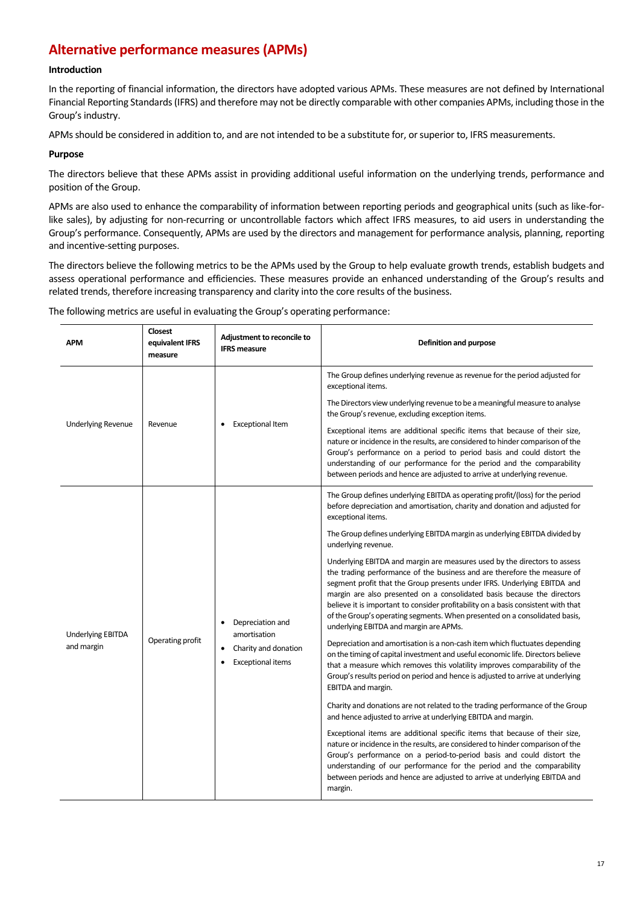# **Alternative performance measures (APMs)**

### **Introduction**

In the reporting of financial information, the directors have adopted various APMs. These measures are not defined by International Financial Reporting Standards (IFRS) and therefore may not be directly comparable with other companies APMs, including those in the Group's industry.

APMs should be considered in addition to, and are not intended to be a substitute for, or superior to, IFRS measurements.

#### **Purpose**

The directors believe that these APMs assist in providing additional useful information on the underlying trends, performance and position of the Group.

APMs are also used to enhance the comparability of information between reporting periods and geographical units (such as like-forlike sales), by adjusting for non-recurring or uncontrollable factors which affect IFRS measures, to aid users in understanding the Group's performance. Consequently, APMs are used by the directors and management for performance analysis, planning, reporting and incentive-setting purposes.

The directors believe the following metrics to be the APMs used by the Group to help evaluate growth trends, establish budgets and assess operational performance and efficiencies. These measures provide an enhanced understanding of the Group's results and related trends, therefore increasing transparency and clarity into the core results of the business.

The following metrics are useful in evaluating the Group's operating performance:

|                           | <b>APM</b>               | <b>Closest</b><br>equivalent IFRS<br>measure | Adjustment to reconcile to<br><b>IFRS measure</b> | <b>Definition and purpose</b>                                                                                                                                                                                                                                                                                                                                                                                                                                                                                             |
|---------------------------|--------------------------|----------------------------------------------|---------------------------------------------------|---------------------------------------------------------------------------------------------------------------------------------------------------------------------------------------------------------------------------------------------------------------------------------------------------------------------------------------------------------------------------------------------------------------------------------------------------------------------------------------------------------------------------|
|                           |                          |                                              |                                                   | The Group defines underlying revenue as revenue for the period adjusted for<br>exceptional items.                                                                                                                                                                                                                                                                                                                                                                                                                         |
|                           |                          | Revenue                                      |                                                   | The Directors view underlying revenue to be a meaningful measure to analyse<br>the Group's revenue, excluding exception items.                                                                                                                                                                                                                                                                                                                                                                                            |
| <b>Underlying Revenue</b> |                          |                                              | <b>Exceptional Item</b>                           | Exceptional items are additional specific items that because of their size,<br>nature or incidence in the results, are considered to hinder comparison of the<br>Group's performance on a period to period basis and could distort the<br>understanding of our performance for the period and the comparability<br>between periods and hence are adjusted to arrive at underlying revenue.                                                                                                                                |
|                           |                          | Operating profit                             |                                                   | The Group defines underlying EBITDA as operating profit/(loss) for the period<br>before depreciation and amortisation, charity and donation and adjusted for<br>exceptional items.                                                                                                                                                                                                                                                                                                                                        |
|                           |                          |                                              |                                                   | The Group defines underlying EBITDA margin as underlying EBITDA divided by<br>underlying revenue.                                                                                                                                                                                                                                                                                                                                                                                                                         |
|                           | <b>Underlying EBITDA</b> |                                              | Depreciation and<br>amortisation                  | Underlying EBITDA and margin are measures used by the directors to assess<br>the trading performance of the business and are therefore the measure of<br>segment profit that the Group presents under IFRS. Underlying EBITDA and<br>margin are also presented on a consolidated basis because the directors<br>believe it is important to consider profitability on a basis consistent with that<br>of the Group's operating segments. When presented on a consolidated basis,<br>underlying EBITDA and margin are APMs. |
|                           | and margin               |                                              | Charity and donation<br><b>Exceptional items</b>  | Depreciation and amortisation is a non-cash item which fluctuates depending<br>on the timing of capital investment and useful economic life. Directors believe<br>that a measure which removes this volatility improves comparability of the<br>Group's results period on period and hence is adjusted to arrive at underlying<br>EBITDA and margin.                                                                                                                                                                      |
|                           |                          |                                              |                                                   | Charity and donations are not related to the trading performance of the Group<br>and hence adjusted to arrive at underlying EBITDA and margin.                                                                                                                                                                                                                                                                                                                                                                            |
|                           |                          |                                              |                                                   | Exceptional items are additional specific items that because of their size,<br>nature or incidence in the results, are considered to hinder comparison of the<br>Group's performance on a period-to-period basis and could distort the<br>understanding of our performance for the period and the comparability<br>between periods and hence are adjusted to arrive at underlying EBITDA and<br>margin.                                                                                                                   |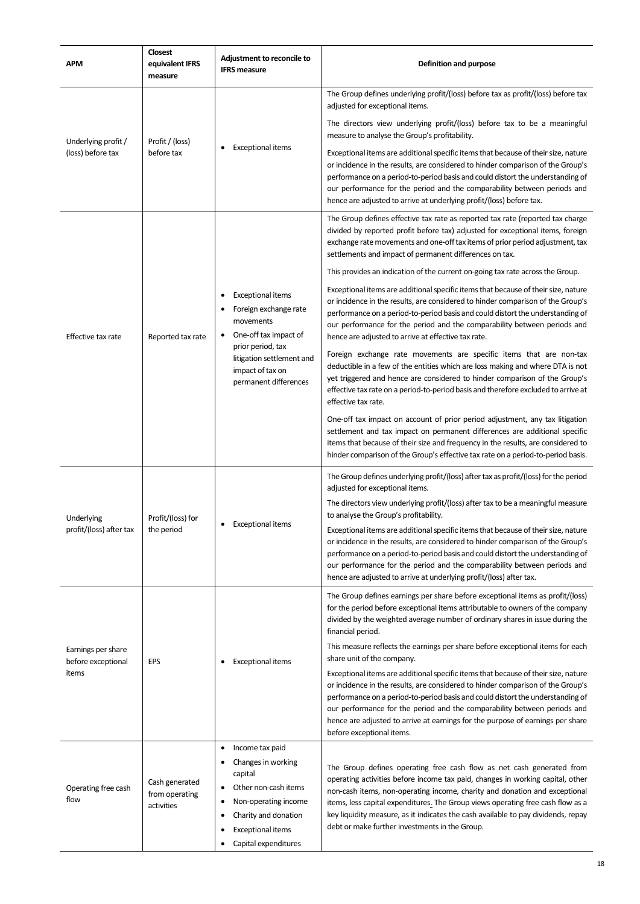| <b>APM</b>                               | <b>Closest</b><br>equivalent IFRS<br>measure   | Adjustment to reconcile to<br><b>IFRS</b> measure                                                                                                                                                     | <b>Definition and purpose</b>                                                                                                                                                                                                                                                                                                                                                                                                                                   |
|------------------------------------------|------------------------------------------------|-------------------------------------------------------------------------------------------------------------------------------------------------------------------------------------------------------|-----------------------------------------------------------------------------------------------------------------------------------------------------------------------------------------------------------------------------------------------------------------------------------------------------------------------------------------------------------------------------------------------------------------------------------------------------------------|
|                                          |                                                |                                                                                                                                                                                                       | The Group defines underlying profit/(loss) before tax as profit/(loss) before tax<br>adjusted for exceptional items.                                                                                                                                                                                                                                                                                                                                            |
| Underlying profit /<br>(loss) before tax | Profit / (loss)<br>before tax                  |                                                                                                                                                                                                       | The directors view underlying profit/(loss) before tax to be a meaningful<br>measure to analyse the Group's profitability.                                                                                                                                                                                                                                                                                                                                      |
|                                          |                                                | <b>Exceptional items</b>                                                                                                                                                                              | Exceptional items are additional specific items that because of their size, nature<br>or incidence in the results, are considered to hinder comparison of the Group's<br>performance on a period-to-period basis and could distort the understanding of<br>our performance for the period and the comparability between periods and<br>hence are adjusted to arrive at underlying profit/(loss) before tax.                                                     |
|                                          | Reported tax rate                              |                                                                                                                                                                                                       | The Group defines effective tax rate as reported tax rate (reported tax charge<br>divided by reported profit before tax) adjusted for exceptional items, foreign<br>exchange rate movements and one-off tax items of prior period adjustment, tax<br>settlements and impact of permanent differences on tax.                                                                                                                                                    |
|                                          |                                                |                                                                                                                                                                                                       | This provides an indication of the current on-going tax rate across the Group.                                                                                                                                                                                                                                                                                                                                                                                  |
| Effective tax rate                       |                                                | <b>Exceptional items</b><br>Foreign exchange rate<br>movements<br>One-off tax impact of                                                                                                               | Exceptional items are additional specific items that because of their size, nature<br>or incidence in the results, are considered to hinder comparison of the Group's<br>performance on a period-to-period basis and could distort the understanding of<br>our performance for the period and the comparability between periods and<br>hence are adjusted to arrive at effective tax rate.                                                                      |
|                                          |                                                | prior period, tax<br>litigation settlement and<br>impact of tax on<br>permanent differences                                                                                                           | Foreign exchange rate movements are specific items that are non-tax<br>deductible in a few of the entities which are loss making and where DTA is not<br>yet triggered and hence are considered to hinder comparison of the Group's<br>effective tax rate on a period-to-period basis and therefore excluded to arrive at<br>effective tax rate.                                                                                                                |
|                                          |                                                |                                                                                                                                                                                                       | One-off tax impact on account of prior period adjustment, any tax litigation<br>settlement and tax impact on permanent differences are additional specific<br>items that because of their size and frequency in the results, are considered to<br>hinder comparison of the Group's effective tax rate on a period-to-period basis.                                                                                                                              |
|                                          | Profit/(loss) for<br>the period                |                                                                                                                                                                                                       | The Group defines underlying profit/(loss) after tax as profit/(loss) for the period<br>adjusted for exceptional items.                                                                                                                                                                                                                                                                                                                                         |
| Underlying                               |                                                |                                                                                                                                                                                                       | The directors view underlying profit/(loss) after tax to be a meaningful measure<br>to analyse the Group's profitability.                                                                                                                                                                                                                                                                                                                                       |
| profit/(loss) after tax                  |                                                | <b>Exceptional items</b>                                                                                                                                                                              | Exceptional items are additional specific items that because of their size, nature<br>or incidence in the results, are considered to hinder comparison of the Group's<br>performance on a period-to-period basis and could distort the understanding of<br>our performance for the period and the comparability between periods and<br>hence are adjusted to arrive at underlying profit/(loss) after tax.                                                      |
|                                          |                                                |                                                                                                                                                                                                       | The Group defines earnings per share before exceptional items as profit/(loss)<br>for the period before exceptional items attributable to owners of the company<br>divided by the weighted average number of ordinary shares in issue during the<br>financial period.                                                                                                                                                                                           |
| Earnings per share                       |                                                |                                                                                                                                                                                                       | This measure reflects the earnings per share before exceptional items for each<br>share unit of the company.                                                                                                                                                                                                                                                                                                                                                    |
| before exceptional<br>items              | EPS                                            | <b>Exceptional items</b>                                                                                                                                                                              | Exceptional items are additional specific items that because of their size, nature<br>or incidence in the results, are considered to hinder comparison of the Group's<br>performance on a period-to-period basis and could distort the understanding of<br>our performance for the period and the comparability between periods and<br>hence are adjusted to arrive at earnings for the purpose of earnings per share<br>before exceptional items.              |
| Operating free cash<br>flow              | Cash generated<br>from operating<br>activities | Income tax paid<br>٠<br>Changes in working<br>capital<br>Other non-cash items<br>٠<br>Non-operating income<br>٠<br>Charity and donation<br>٠<br><b>Exceptional items</b><br>٠<br>Capital expenditures | The Group defines operating free cash flow as net cash generated from<br>operating activities before income tax paid, changes in working capital, other<br>non-cash items, non-operating income, charity and donation and exceptional<br>items, less capital expenditures. The Group views operating free cash flow as a<br>key liquidity measure, as it indicates the cash available to pay dividends, repay<br>debt or make further investments in the Group. |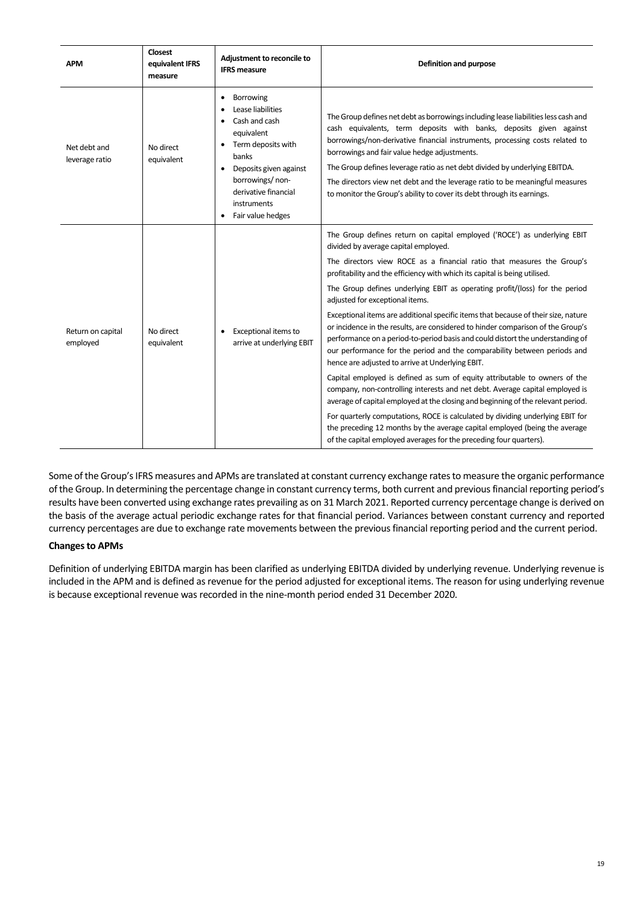| APM                            | <b>Closest</b><br>equivalent IFRS<br>measure | Adjustment to reconcile to<br><b>IFRS</b> measure                                                                                                                                                                       | Definition and purpose                                                                                                                                                                                                                                                                                                                                                                                                                                                                                                                                                                                                                                                                                                                                                                                                                                                                                                                                                                                                                                                                                                                                                                                                                                                        |
|--------------------------------|----------------------------------------------|-------------------------------------------------------------------------------------------------------------------------------------------------------------------------------------------------------------------------|-------------------------------------------------------------------------------------------------------------------------------------------------------------------------------------------------------------------------------------------------------------------------------------------------------------------------------------------------------------------------------------------------------------------------------------------------------------------------------------------------------------------------------------------------------------------------------------------------------------------------------------------------------------------------------------------------------------------------------------------------------------------------------------------------------------------------------------------------------------------------------------------------------------------------------------------------------------------------------------------------------------------------------------------------------------------------------------------------------------------------------------------------------------------------------------------------------------------------------------------------------------------------------|
| Net debt and<br>leverage ratio | No direct<br>equivalent                      | Borrowing<br>٠<br>Lease liabilities<br>Cash and cash<br>equivalent<br>Term deposits with<br>banks<br>Deposits given against<br>borrowings/non-<br>derivative financial<br>instruments<br>Fair value hedges<br>$\bullet$ | The Group defines net debt as borrowings including lease liabilities less cash and<br>cash equivalents, term deposits with banks, deposits given against<br>borrowings/non-derivative financial instruments, processing costs related to<br>borrowings and fair value hedge adjustments.<br>The Group defines leverage ratio as net debt divided by underlying EBITDA.<br>The directors view net debt and the leverage ratio to be meaningful measures<br>to monitor the Group's ability to cover its debt through its earnings.                                                                                                                                                                                                                                                                                                                                                                                                                                                                                                                                                                                                                                                                                                                                              |
| Return on capital<br>employed  | No direct<br>equivalent                      | Exceptional items to<br>arrive at underlying EBIT                                                                                                                                                                       | The Group defines return on capital employed ('ROCE') as underlying EBIT<br>divided by average capital employed.<br>The directors view ROCE as a financial ratio that measures the Group's<br>profitability and the efficiency with which its capital is being utilised.<br>The Group defines underlying EBIT as operating profit/(loss) for the period<br>adjusted for exceptional items.<br>Exceptional items are additional specific items that because of their size, nature<br>or incidence in the results, are considered to hinder comparison of the Group's<br>performance on a period-to-period basis and could distort the understanding of<br>our performance for the period and the comparability between periods and<br>hence are adjusted to arrive at Underlying EBIT.<br>Capital employed is defined as sum of equity attributable to owners of the<br>company, non-controlling interests and net debt. Average capital employed is<br>average of capital employed at the closing and beginning of the relevant period.<br>For quarterly computations, ROCE is calculated by dividing underlying EBIT for<br>the preceding 12 months by the average capital employed (being the average<br>of the capital employed averages for the preceding four quarters). |

Some of the Group's IFRS measures and APMs are translated at constant currency exchange rates to measure the organic performance of the Group. In determining the percentage change in constant currency terms, both current and previous financial reporting period's results have been converted using exchange rates prevailing as on 31 March 2021. Reported currency percentage change is derived on the basis of the average actual periodic exchange rates for that financial period. Variances between constant currency and reported currency percentages are due to exchange rate movements between the previous financial reporting period and the current period.

### **Changes to APMs**

Definition of underlying EBITDA margin has been clarified as underlying EBITDA divided by underlying revenue. Underlying revenue is included in the APM and is defined as revenue for the period adjusted for exceptional items. The reason for using underlying revenue is because exceptional revenue was recorded in the nine-month period ended 31 December 2020.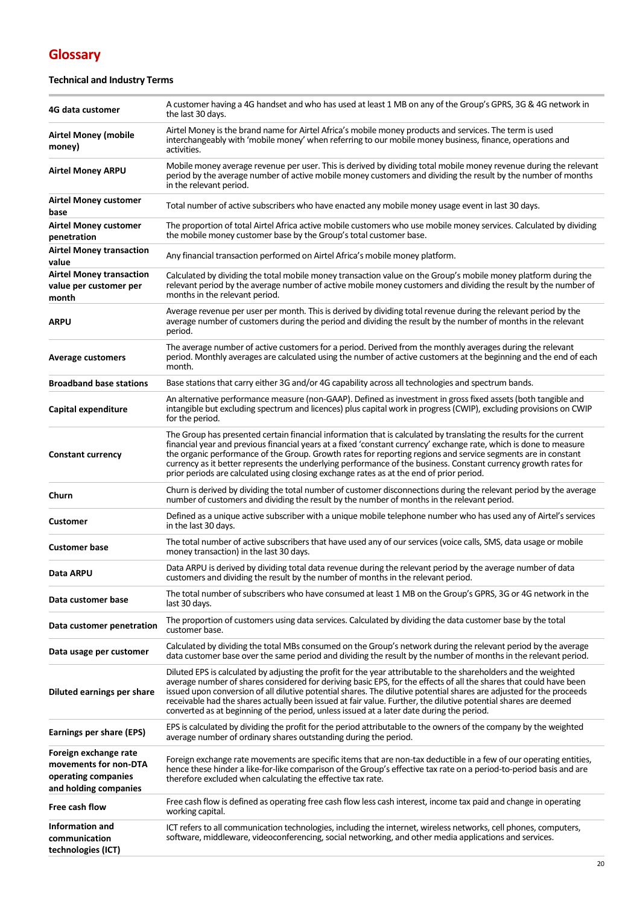# **Glossary**

## **Technical and Industry Terms**

| 4G data customer                                                                               | A customer having a 4G handset and who has used at least 1 MB on any of the Group's GPRS, 3G & 4G network in<br>the last 30 days.                                                                                                                                                                                                                                                                                                                                                                                                                                              |
|------------------------------------------------------------------------------------------------|--------------------------------------------------------------------------------------------------------------------------------------------------------------------------------------------------------------------------------------------------------------------------------------------------------------------------------------------------------------------------------------------------------------------------------------------------------------------------------------------------------------------------------------------------------------------------------|
| <b>Airtel Money (mobile</b><br>money)                                                          | Airtel Money is the brand name for Airtel Africa's mobile money products and services. The term is used<br>interchangeably with 'mobile money' when referring to our mobile money business, finance, operations and<br>activities.                                                                                                                                                                                                                                                                                                                                             |
| <b>Airtel Money ARPU</b>                                                                       | Mobile money average revenue per user. This is derived by dividing total mobile money revenue during the relevant<br>period by the average number of active mobile money customers and dividing the result by the number of months<br>in the relevant period.                                                                                                                                                                                                                                                                                                                  |
| <b>Airtel Money customer</b><br>base                                                           | Total number of active subscribers who have enacted any mobile money usage event in last 30 days.                                                                                                                                                                                                                                                                                                                                                                                                                                                                              |
| <b>Airtel Money customer</b><br>penetration                                                    | The proportion of total Airtel Africa active mobile customers who use mobile money services. Calculated by dividing<br>the mobile money customer base by the Group's total customer base.                                                                                                                                                                                                                                                                                                                                                                                      |
| <b>Airtel Money transaction</b><br>value                                                       | Any financial transaction performed on Airtel Africa's mobile money platform.                                                                                                                                                                                                                                                                                                                                                                                                                                                                                                  |
| <b>Airtel Money transaction</b><br>value per customer per<br>month                             | Calculated by dividing the total mobile money transaction value on the Group's mobile money platform during the<br>relevant period by the average number of active mobile money customers and dividing the result by the number of<br>months in the relevant period.                                                                                                                                                                                                                                                                                                           |
| ARPU                                                                                           | Average revenue per user per month. This is derived by dividing total revenue during the relevant period by the<br>average number of customers during the period and dividing the result by the number of months in the relevant<br>period.                                                                                                                                                                                                                                                                                                                                    |
| <b>Average customers</b>                                                                       | The average number of active customers for a period. Derived from the monthly averages during the relevant<br>period. Monthly averages are calculated using the number of active customers at the beginning and the end of each<br>month.                                                                                                                                                                                                                                                                                                                                      |
| <b>Broadband base stations</b>                                                                 | Base stations that carry either 3G and/or 4G capability across all technologies and spectrum bands.                                                                                                                                                                                                                                                                                                                                                                                                                                                                            |
| Capital expenditure                                                                            | An alternative performance measure (non-GAAP). Defined as investment in gross fixed assets (both tangible and<br>intangible but excluding spectrum and licences) plus capital work in progress (CWIP), excluding provisions on CWIP<br>for the period.                                                                                                                                                                                                                                                                                                                         |
| <b>Constant currency</b>                                                                       | The Group has presented certain financial information that is calculated by translating the results for the current<br>financial year and previous financial years at a fixed 'constant currency' exchange rate, which is done to measure<br>the organic performance of the Group. Growth rates for reporting regions and service segments are in constant<br>currency as it better represents the underlying performance of the business. Constant currency growth rates for<br>prior periods are calculated using closing exchange rates as at the end of prior period.      |
| Churn                                                                                          | Churn is derived by dividing the total number of customer disconnections during the relevant period by the average<br>number of customers and dividing the result by the number of months in the relevant period.                                                                                                                                                                                                                                                                                                                                                              |
| Customer                                                                                       | Defined as a unique active subscriber with a unique mobile telephone number who has used any of Airtel's services<br>in the last 30 days.                                                                                                                                                                                                                                                                                                                                                                                                                                      |
| <b>Customer base</b>                                                                           | The total number of active subscribers that have used any of our services (voice calls, SMS, data usage or mobile<br>money transaction) in the last 30 days.                                                                                                                                                                                                                                                                                                                                                                                                                   |
| Data ARPU                                                                                      | Data ARPU is derived by dividing total data revenue during the relevant period by the average number of data<br>customers and dividing the result by the number of months in the relevant period.                                                                                                                                                                                                                                                                                                                                                                              |
| Data customer base                                                                             | The total number of subscribers who have consumed at least 1 MB on the Group's GPRS, 3G or 4G network in the<br>last 30 days.                                                                                                                                                                                                                                                                                                                                                                                                                                                  |
| Data customer penetration                                                                      | The proportion of customers using data services. Calculated by dividing the data customer base by the total<br>customer base.                                                                                                                                                                                                                                                                                                                                                                                                                                                  |
| Data usage per customer                                                                        | Calculated by dividing the total MBs consumed on the Group's network during the relevant period by the average<br>data customer base over the same period and dividing the result by the number of months in the relevant period.                                                                                                                                                                                                                                                                                                                                              |
| Diluted earnings per share                                                                     | Diluted EPS is calculated by adjusting the profit for the year attributable to the shareholders and the weighted<br>average number of shares considered for deriving basic EPS, for the effects of all the shares that could have been<br>issued upon conversion of all dilutive potential shares. The dilutive potential shares are adjusted for the proceeds<br>receivable had the shares actually been issued at fair value. Further, the dilutive potential shares are deemed<br>converted as at beginning of the period, unless issued at a later date during the period. |
| <b>Earnings per share (EPS)</b>                                                                | EPS is calculated by dividing the profit for the period attributable to the owners of the company by the weighted<br>average number of ordinary shares outstanding during the period.                                                                                                                                                                                                                                                                                                                                                                                          |
| Foreign exchange rate<br>movements for non-DTA<br>operating companies<br>and holding companies | Foreign exchange rate movements are specific items that are non-tax deductible in a few of our operating entities,<br>hence these hinder a like-for-like comparison of the Group's effective tax rate on a period-to-period basis and are<br>therefore excluded when calculating the effective tax rate.                                                                                                                                                                                                                                                                       |
| Free cash flow                                                                                 | Free cash flow is defined as operating free cash flow less cash interest, income tax paid and change in operating<br>working capital.                                                                                                                                                                                                                                                                                                                                                                                                                                          |
| <b>Information and</b><br>communication<br>technologies (ICT)                                  | ICT refers to all communication technologies, including the internet, wireless networks, cell phones, computers,<br>software, middleware, videoconferencing, social networking, and other media applications and services.                                                                                                                                                                                                                                                                                                                                                     |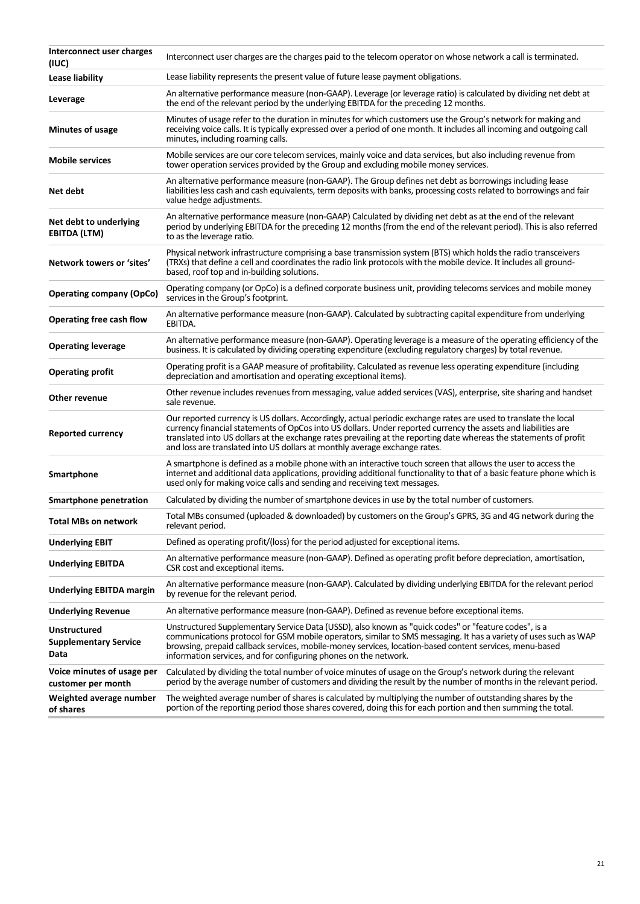| Interconnect user charges                                   | Interconnect user charges are the charges paid to the telecom operator on whose network a call is terminated.                                                                                                                                                                                                                                                                                                                          |
|-------------------------------------------------------------|----------------------------------------------------------------------------------------------------------------------------------------------------------------------------------------------------------------------------------------------------------------------------------------------------------------------------------------------------------------------------------------------------------------------------------------|
| (IUC)<br>Lease liability                                    | Lease liability represents the present value of future lease payment obligations.                                                                                                                                                                                                                                                                                                                                                      |
| Leverage                                                    | An alternative performance measure (non-GAAP). Leverage (or leverage ratio) is calculated by dividing net debt at<br>the end of the relevant period by the underlying EBITDA for the preceding 12 months.                                                                                                                                                                                                                              |
| <b>Minutes of usage</b>                                     | Minutes of usage refer to the duration in minutes for which customers use the Group's network for making and<br>receiving voice calls. It is typically expressed over a period of one month. It includes all incoming and outgoing call<br>minutes, including roaming calls.                                                                                                                                                           |
| <b>Mobile services</b>                                      | Mobile services are our core telecom services, mainly voice and data services, but also including revenue from<br>tower operation services provided by the Group and excluding mobile money services.                                                                                                                                                                                                                                  |
| Net debt                                                    | An alternative performance measure (non-GAAP). The Group defines net debt as borrowings including lease<br>liabilities less cash and cash equivalents, term deposits with banks, processing costs related to borrowings and fair<br>value hedge adjustments.                                                                                                                                                                           |
| Net debt to underlying<br><b>EBITDA (LTM)</b>               | An alternative performance measure (non-GAAP) Calculated by dividing net debt as at the end of the relevant<br>period by underlying EBITDA for the preceding 12 months (from the end of the relevant period). This is also referred<br>to as the leverage ratio.                                                                                                                                                                       |
| Network towers or 'sites'                                   | Physical network infrastructure comprising a base transmission system (BTS) which holds the radio transceivers<br>(TRXs) that define a cell and coordinates the radio link protocols with the mobile device. It includes all ground-<br>based, roof top and in-building solutions.                                                                                                                                                     |
| <b>Operating company (OpCo)</b>                             | Operating company (or OpCo) is a defined corporate business unit, providing telecoms services and mobile money<br>services in the Group's footprint.                                                                                                                                                                                                                                                                                   |
| <b>Operating free cash flow</b>                             | An alternative performance measure (non-GAAP). Calculated by subtracting capital expenditure from underlying<br>EBITDA.                                                                                                                                                                                                                                                                                                                |
| <b>Operating leverage</b>                                   | An alternative performance measure (non-GAAP). Operating leverage is a measure of the operating efficiency of the<br>business. It is calculated by dividing operating expenditure (excluding regulatory charges) by total revenue.                                                                                                                                                                                                     |
| <b>Operating profit</b>                                     | Operating profit is a GAAP measure of profitability. Calculated as revenue less operating expenditure (including<br>depreciation and amortisation and operating exceptional items).                                                                                                                                                                                                                                                    |
| Other revenue                                               | Other revenue includes revenues from messaging, value added services (VAS), enterprise, site sharing and handset<br>sale revenue.                                                                                                                                                                                                                                                                                                      |
| <b>Reported currency</b>                                    | Our reported currency is US dollars. Accordingly, actual periodic exchange rates are used to translate the local<br>currency financial statements of OpCos into US dollars. Under reported currency the assets and liabilities are<br>translated into US dollars at the exchange rates prevailing at the reporting date whereas the statements of profit<br>and loss are translated into US dollars at monthly average exchange rates. |
| Smartphone                                                  | A smartphone is defined as a mobile phone with an interactive touch screen that allows the user to access the<br>internet and additional data applications, providing additional functionality to that of a basic feature phone which is<br>used only for making voice calls and sending and receiving text messages.                                                                                                                  |
| <b>Smartphone penetration</b>                               | Calculated by dividing the number of smartphone devices in use by the total number of customers.                                                                                                                                                                                                                                                                                                                                       |
| <b>Total MBs on network</b>                                 | Total MBs consumed (uploaded & downloaded) by customers on the Group's GPRS, 3G and 4G network during the<br>relevant period.                                                                                                                                                                                                                                                                                                          |
| <b>Underlying EBIT</b>                                      | Defined as operating profit/(loss) for the period adjusted for exceptional items.                                                                                                                                                                                                                                                                                                                                                      |
| <b>Underlying EBITDA</b>                                    | An alternative performance measure (non-GAAP). Defined as operating profit before depreciation, amortisation,<br>CSR cost and exceptional items.                                                                                                                                                                                                                                                                                       |
| Underlying EBITDA margin                                    | An alternative performance measure (non-GAAP). Calculated by dividing underlying EBITDA for the relevant period<br>by revenue for the relevant period.                                                                                                                                                                                                                                                                                 |
| <b>Underlying Revenue</b>                                   | An alternative performance measure (non-GAAP). Defined as revenue before exceptional items.                                                                                                                                                                                                                                                                                                                                            |
| <b>Unstructured</b><br><b>Supplementary Service</b><br>Data | Unstructured Supplementary Service Data (USSD), also known as "quick codes" or "feature codes", is a<br>communications protocol for GSM mobile operators, similar to SMS messaging. It has a variety of uses such as WAP<br>browsing, prepaid callback services, mobile-money services, location-based content services, menu-based<br>information services, and for configuring phones on the network.                                |
| Voice minutes of usage per<br>customer per month            | Calculated by dividing the total number of voice minutes of usage on the Group's network during the relevant<br>period by the average number of customers and dividing the result by the number of months in the relevant period.                                                                                                                                                                                                      |
| Weighted average number<br>of shares                        | The weighted average number of shares is calculated by multiplying the number of outstanding shares by the<br>portion of the reporting period those shares covered, doing this for each portion and then summing the total.                                                                                                                                                                                                            |